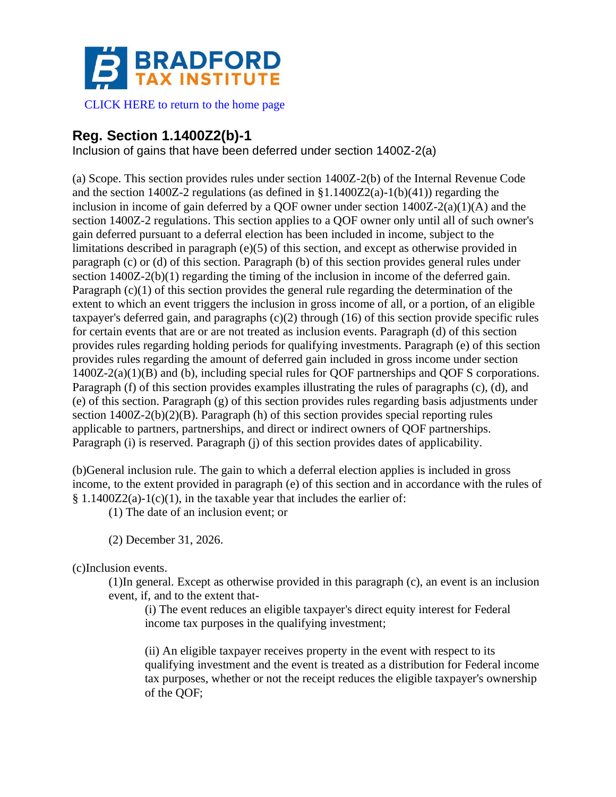

[CLICK HERE to return to the home page](http://www.bradfordtaxinstitute.com)

# **Reg. Section 1.1400Z2(b)-1**

Inclusion of gains that have been deferred under section 1400Z-2(a)

(a) Scope. This section provides rules under section 1400Z-2(b) of the Internal Revenue Code and the section 1400Z-2 regulations (as defined in  $$1.1400Z2(a)-1(b)(41)$ ) regarding the inclusion in income of gain deferred by a QOF owner under section 1400Z-2(a)(1)(A) and the section 1400Z-2 regulations. This section applies to a QOF owner only until all of such owner's gain deferred pursuant to a deferral election has been included in income, subject to the limitations described in paragraph (e)(5) of this section, and except as otherwise provided in paragraph (c) or (d) of this section. Paragraph (b) of this section provides general rules under section 1400Z-2(b)(1) regarding the timing of the inclusion in income of the deferred gain. Paragraph (c)(1) of this section provides the general rule regarding the determination of the extent to which an event triggers the inclusion in gross income of all, or a portion, of an eligible taxpayer's deferred gain, and paragraphs (c)(2) through (16) of this section provide specific rules for certain events that are or are not treated as inclusion events. Paragraph (d) of this section provides rules regarding holding periods for qualifying investments. Paragraph (e) of this section provides rules regarding the amount of deferred gain included in gross income under section 1400Z-2(a)(1)(B) and (b), including special rules for QOF partnerships and QOF S corporations. Paragraph (f) of this section provides examples illustrating the rules of paragraphs (c), (d), and (e) of this section. Paragraph (g) of this section provides rules regarding basis adjustments under section 1400Z-2(b)(2)(B). Paragraph (h) of this section provides special reporting rules applicable to partners, partnerships, and direct or indirect owners of QOF partnerships. Paragraph (i) is reserved. Paragraph (j) of this section provides dates of applicability.

(b)General inclusion rule. The gain to which a deferral election applies is included in gross income, to the extent provided in paragraph (e) of this section and in accordance with the rules of  $§ 1.1400Z2(a)-1(c)(1)$ , in the taxable year that includes the earlier of:

(1) The date of an inclusion event; or

(2) December 31, 2026.

(c)Inclusion events.

(1)In general. Except as otherwise provided in this paragraph (c), an event is an inclusion event, if, and to the extent that-

(i) The event reduces an eligible taxpayer's direct equity interest for Federal income tax purposes in the qualifying investment;

(ii) An eligible taxpayer receives property in the event with respect to its qualifying investment and the event is treated as a distribution for Federal income tax purposes, whether or not the receipt reduces the eligible taxpayer's ownership of the QOF;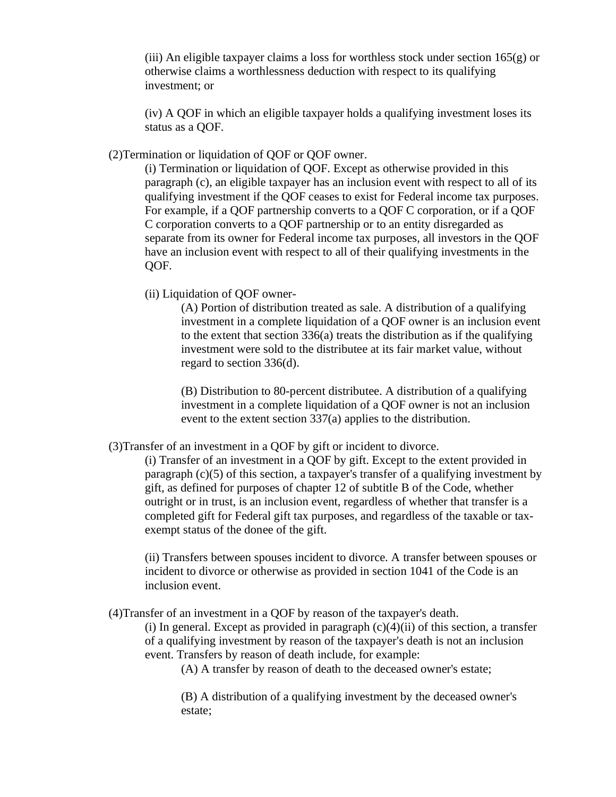(iii) An eligible taxpayer claims a loss for worthless stock under section  $165(g)$  or otherwise claims a worthlessness deduction with respect to its qualifying investment; or

(iv) A QOF in which an eligible taxpayer holds a qualifying investment loses its status as a QOF.

(2)Termination or liquidation of QOF or QOF owner.

(i) Termination or liquidation of QOF. Except as otherwise provided in this paragraph (c), an eligible taxpayer has an inclusion event with respect to all of its qualifying investment if the QOF ceases to exist for Federal income tax purposes. For example, if a QOF partnership converts to a QOF C corporation, or if a QOF C corporation converts to a QOF partnership or to an entity disregarded as separate from its owner for Federal income tax purposes, all investors in the QOF have an inclusion event with respect to all of their qualifying investments in the QOF.

(ii) Liquidation of QOF owner-

(A) Portion of distribution treated as sale. A distribution of a qualifying investment in a complete liquidation of a QOF owner is an inclusion event to the extent that section  $336(a)$  treats the distribution as if the qualifying investment were sold to the distributee at its fair market value, without regard to section 336(d).

(B) Distribution to 80-percent distributee. A distribution of a qualifying investment in a complete liquidation of a QOF owner is not an inclusion event to the extent section 337(a) applies to the distribution.

(3)Transfer of an investment in a QOF by gift or incident to divorce.

(i) Transfer of an investment in a QOF by gift. Except to the extent provided in paragraph (c)(5) of this section, a taxpayer's transfer of a qualifying investment by gift, as defined for purposes of chapter 12 of subtitle B of the Code, whether outright or in trust, is an inclusion event, regardless of whether that transfer is a completed gift for Federal gift tax purposes, and regardless of the taxable or taxexempt status of the donee of the gift.

(ii) Transfers between spouses incident to divorce. A transfer between spouses or incident to divorce or otherwise as provided in section 1041 of the Code is an inclusion event.

(4)Transfer of an investment in a QOF by reason of the taxpayer's death.

(i) In general. Except as provided in paragraph  $(c)(4)(ii)$  of this section, a transfer of a qualifying investment by reason of the taxpayer's death is not an inclusion event. Transfers by reason of death include, for example:

(A) A transfer by reason of death to the deceased owner's estate;

(B) A distribution of a qualifying investment by the deceased owner's estate;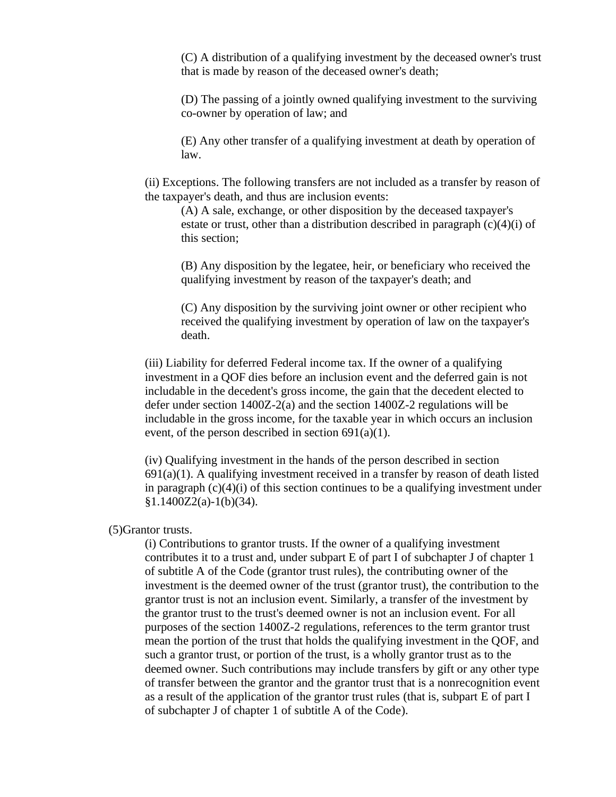(C) A distribution of a qualifying investment by the deceased owner's trust that is made by reason of the deceased owner's death;

(D) The passing of a jointly owned qualifying investment to the surviving co-owner by operation of law; and

(E) Any other transfer of a qualifying investment at death by operation of law.

(ii) Exceptions. The following transfers are not included as a transfer by reason of the taxpayer's death, and thus are inclusion events:

(A) A sale, exchange, or other disposition by the deceased taxpayer's estate or trust, other than a distribution described in paragraph  $(c)(4)(i)$  of this section;

(B) Any disposition by the legatee, heir, or beneficiary who received the qualifying investment by reason of the taxpayer's death; and

(C) Any disposition by the surviving joint owner or other recipient who received the qualifying investment by operation of law on the taxpayer's death.

(iii) Liability for deferred Federal income tax. If the owner of a qualifying investment in a QOF dies before an inclusion event and the deferred gain is not includable in the decedent's gross income, the gain that the decedent elected to defer under section 1400Z-2(a) and the section 1400Z-2 regulations will be includable in the gross income, for the taxable year in which occurs an inclusion event, of the person described in section 691(a)(1).

(iv) Qualifying investment in the hands of the person described in section  $691(a)(1)$ . A qualifying investment received in a transfer by reason of death listed in paragraph  $(c)(4)(i)$  of this section continues to be a qualifying investment under  $§1.1400Z2(a)-1(b)(34).$ 

#### (5)Grantor trusts.

(i) Contributions to grantor trusts. If the owner of a qualifying investment contributes it to a trust and, under subpart E of part I of subchapter J of chapter 1 of subtitle A of the Code (grantor trust rules), the contributing owner of the investment is the deemed owner of the trust (grantor trust), the contribution to the grantor trust is not an inclusion event. Similarly, a transfer of the investment by the grantor trust to the trust's deemed owner is not an inclusion event. For all purposes of the section 1400Z-2 regulations, references to the term grantor trust mean the portion of the trust that holds the qualifying investment in the QOF, and such a grantor trust, or portion of the trust, is a wholly grantor trust as to the deemed owner. Such contributions may include transfers by gift or any other type of transfer between the grantor and the grantor trust that is a nonrecognition event as a result of the application of the grantor trust rules (that is, subpart E of part I of subchapter J of chapter 1 of subtitle A of the Code).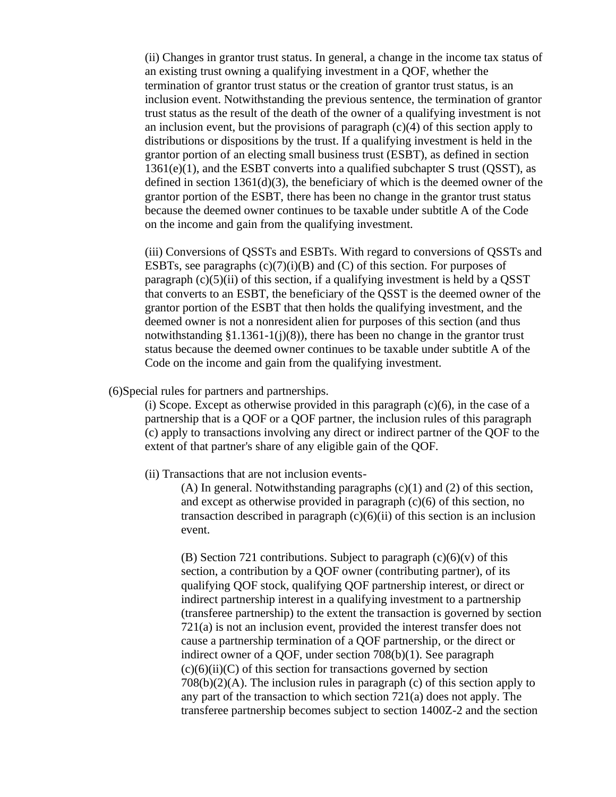(ii) Changes in grantor trust status. In general, a change in the income tax status of an existing trust owning a qualifying investment in a QOF, whether the termination of grantor trust status or the creation of grantor trust status, is an inclusion event. Notwithstanding the previous sentence, the termination of grantor trust status as the result of the death of the owner of a qualifying investment is not an inclusion event, but the provisions of paragraph  $(c)(4)$  of this section apply to distributions or dispositions by the trust. If a qualifying investment is held in the grantor portion of an electing small business trust (ESBT), as defined in section  $1361(e)(1)$ , and the ESBT converts into a qualified subchapter S trust (QSST), as defined in section  $1361(d)(3)$ , the beneficiary of which is the deemed owner of the grantor portion of the ESBT, there has been no change in the grantor trust status because the deemed owner continues to be taxable under subtitle A of the Code on the income and gain from the qualifying investment.

(iii) Conversions of QSSTs and ESBTs. With regard to conversions of QSSTs and ESBTs, see paragraphs  $(c)(7)(i)(B)$  and  $(C)$  of this section. For purposes of paragraph  $(c)(5)(ii)$  of this section, if a qualifying investment is held by a QSST that converts to an ESBT, the beneficiary of the QSST is the deemed owner of the grantor portion of the ESBT that then holds the qualifying investment, and the deemed owner is not a nonresident alien for purposes of this section (and thus notwithstanding  $$1.1361-1(j)(8)$ , there has been no change in the grantor trust status because the deemed owner continues to be taxable under subtitle A of the Code on the income and gain from the qualifying investment.

(6)Special rules for partners and partnerships.

(i) Scope. Except as otherwise provided in this paragraph  $(c)(6)$ , in the case of a partnership that is a QOF or a QOF partner, the inclusion rules of this paragraph (c) apply to transactions involving any direct or indirect partner of the QOF to the extent of that partner's share of any eligible gain of the QOF.

(ii) Transactions that are not inclusion events-

(A) In general. Notwithstanding paragraphs  $(c)(1)$  and  $(2)$  of this section, and except as otherwise provided in paragraph (c)(6) of this section, no transaction described in paragraph  $(c)(6)(ii)$  of this section is an inclusion event.

(B) Section 721 contributions. Subject to paragraph  $(c)(6)(v)$  of this section, a contribution by a QOF owner (contributing partner), of its qualifying QOF stock, qualifying QOF partnership interest, or direct or indirect partnership interest in a qualifying investment to a partnership (transferee partnership) to the extent the transaction is governed by section 721(a) is not an inclusion event, provided the interest transfer does not cause a partnership termination of a QOF partnership, or the direct or indirect owner of a QOF, under section 708(b)(1). See paragraph  $(c)(6)(ii)(C)$  of this section for transactions governed by section 708(b)(2)(A). The inclusion rules in paragraph (c) of this section apply to any part of the transaction to which section 721(a) does not apply. The transferee partnership becomes subject to section 1400Z-2 and the section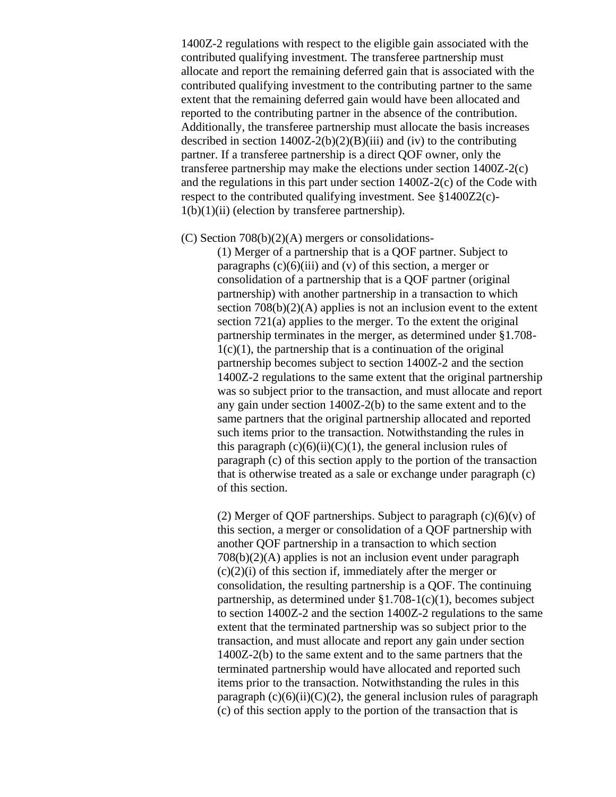1400Z-2 regulations with respect to the eligible gain associated with the contributed qualifying investment. The transferee partnership must allocate and report the remaining deferred gain that is associated with the contributed qualifying investment to the contributing partner to the same extent that the remaining deferred gain would have been allocated and reported to the contributing partner in the absence of the contribution. Additionally, the transferee partnership must allocate the basis increases described in section  $1400Z-2(b)(2)(B)(iii)$  and (iv) to the contributing partner. If a transferee partnership is a direct QOF owner, only the transferee partnership may make the elections under section 1400Z-2(c) and the regulations in this part under section 1400Z-2(c) of the Code with respect to the contributed qualifying investment. See §1400Z2(c)-  $1(b)(1)(ii)$  (election by transferee partnership).

(C) Section 708(b)(2)(A) mergers or consolidations-

(1) Merger of a partnership that is a QOF partner. Subject to paragraphs  $(c)(6)(iii)$  and  $(v)$  of this section, a merger or consolidation of a partnership that is a QOF partner (original partnership) with another partnership in a transaction to which section 708(b)(2)(A) applies is not an inclusion event to the extent section 721(a) applies to the merger. To the extent the original partnership terminates in the merger, as determined under §1.708-  $1(c)(1)$ , the partnership that is a continuation of the original partnership becomes subject to section 1400Z-2 and the section 1400Z-2 regulations to the same extent that the original partnership was so subject prior to the transaction, and must allocate and report any gain under section 1400Z-2(b) to the same extent and to the same partners that the original partnership allocated and reported such items prior to the transaction. Notwithstanding the rules in this paragraph  $(c)(6)(ii)(C)(1)$ , the general inclusion rules of paragraph (c) of this section apply to the portion of the transaction that is otherwise treated as a sale or exchange under paragraph (c) of this section.

(2) Merger of QOF partnerships. Subject to paragraph  $(c)(6)(v)$  of this section, a merger or consolidation of a QOF partnership with another QOF partnership in a transaction to which section 708(b)(2)(A) applies is not an inclusion event under paragraph  $(c)(2)(i)$  of this section if, immediately after the merger or consolidation, the resulting partnership is a QOF. The continuing partnership, as determined under §1.708-1(c)(1), becomes subject to section 1400Z-2 and the section 1400Z-2 regulations to the same extent that the terminated partnership was so subject prior to the transaction, and must allocate and report any gain under section 1400Z-2(b) to the same extent and to the same partners that the terminated partnership would have allocated and reported such items prior to the transaction. Notwithstanding the rules in this paragraph  $(c)(6)(ii)(C)(2)$ , the general inclusion rules of paragraph (c) of this section apply to the portion of the transaction that is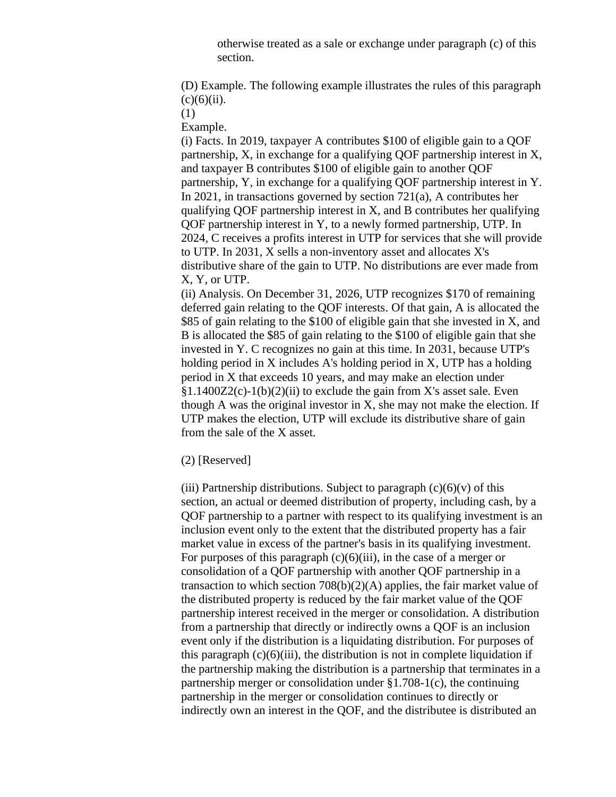otherwise treated as a sale or exchange under paragraph (c) of this section.

(D) Example. The following example illustrates the rules of this paragraph  $(c)(6)(ii)$ .

(1)

Example.

(i) Facts. In 2019, taxpayer A contributes \$100 of eligible gain to a QOF partnership, X, in exchange for a qualifying QOF partnership interest in X, and taxpayer B contributes \$100 of eligible gain to another QOF partnership, Y, in exchange for a qualifying QOF partnership interest in Y. In 2021, in transactions governed by section 721(a), A contributes her qualifying QOF partnership interest in X, and B contributes her qualifying QOF partnership interest in Y, to a newly formed partnership, UTP. In 2024, C receives a profits interest in UTP for services that she will provide to UTP. In 2031, X sells a non-inventory asset and allocates X's distributive share of the gain to UTP. No distributions are ever made from X, Y, or UTP.

(ii) Analysis. On December 31, 2026, UTP recognizes \$170 of remaining deferred gain relating to the QOF interests. Of that gain, A is allocated the \$85 of gain relating to the \$100 of eligible gain that she invested in X, and B is allocated the \$85 of gain relating to the \$100 of eligible gain that she invested in Y. C recognizes no gain at this time. In 2031, because UTP's holding period in X includes A's holding period in X, UTP has a holding period in X that exceeds 10 years, and may make an election under  $§1.1400Z2(c)-1(b)(2)(ii)$  to exclude the gain from X's asset sale. Even though A was the original investor in X, she may not make the election. If UTP makes the election, UTP will exclude its distributive share of gain from the sale of the X asset.

# (2) [Reserved]

(iii) Partnership distributions. Subject to paragraph  $(c)(6)(v)$  of this section, an actual or deemed distribution of property, including cash, by a QOF partnership to a partner with respect to its qualifying investment is an inclusion event only to the extent that the distributed property has a fair market value in excess of the partner's basis in its qualifying investment. For purposes of this paragraph  $(c)(6)(iii)$ , in the case of a merger or consolidation of a QOF partnership with another QOF partnership in a transaction to which section 708(b)(2)(A) applies, the fair market value of the distributed property is reduced by the fair market value of the QOF partnership interest received in the merger or consolidation. A distribution from a partnership that directly or indirectly owns a QOF is an inclusion event only if the distribution is a liquidating distribution. For purposes of this paragraph  $(c)(6)(iii)$ , the distribution is not in complete liquidation if the partnership making the distribution is a partnership that terminates in a partnership merger or consolidation under §1.708-1(c), the continuing partnership in the merger or consolidation continues to directly or indirectly own an interest in the QOF, and the distributee is distributed an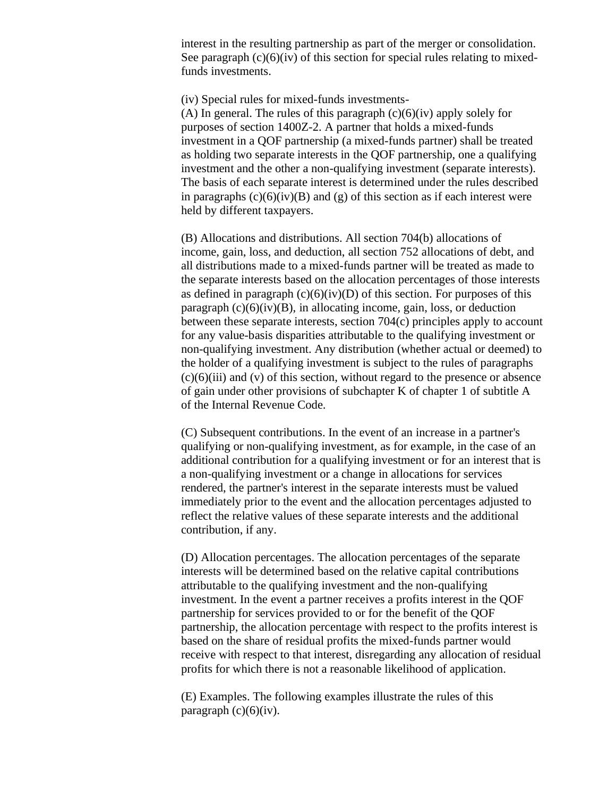interest in the resulting partnership as part of the merger or consolidation. See paragraph  $(c)(6)(iv)$  of this section for special rules relating to mixedfunds investments.

(iv) Special rules for mixed-funds investments-

(A) In general. The rules of this paragraph  $(c)(6)(iv)$  apply solely for purposes of section 1400Z-2. A partner that holds a mixed-funds investment in a QOF partnership (a mixed-funds partner) shall be treated as holding two separate interests in the QOF partnership, one a qualifying investment and the other a non-qualifying investment (separate interests). The basis of each separate interest is determined under the rules described in paragraphs  $(c)(6)(iv)(B)$  and  $(g)$  of this section as if each interest were held by different taxpayers.

(B) Allocations and distributions. All section 704(b) allocations of income, gain, loss, and deduction, all section 752 allocations of debt, and all distributions made to a mixed-funds partner will be treated as made to the separate interests based on the allocation percentages of those interests as defined in paragraph  $(c)(6)(iv)(D)$  of this section. For purposes of this paragraph  $(c)(6)(iv)(B)$ , in allocating income, gain, loss, or deduction between these separate interests, section 704(c) principles apply to account for any value-basis disparities attributable to the qualifying investment or non-qualifying investment. Any distribution (whether actual or deemed) to the holder of a qualifying investment is subject to the rules of paragraphs  $(c)(6)(iii)$  and  $(v)$  of this section, without regard to the presence or absence of gain under other provisions of subchapter K of chapter 1 of subtitle A of the Internal Revenue Code.

(C) Subsequent contributions. In the event of an increase in a partner's qualifying or non-qualifying investment, as for example, in the case of an additional contribution for a qualifying investment or for an interest that is a non-qualifying investment or a change in allocations for services rendered, the partner's interest in the separate interests must be valued immediately prior to the event and the allocation percentages adjusted to reflect the relative values of these separate interests and the additional contribution, if any.

(D) Allocation percentages. The allocation percentages of the separate interests will be determined based on the relative capital contributions attributable to the qualifying investment and the non-qualifying investment. In the event a partner receives a profits interest in the QOF partnership for services provided to or for the benefit of the QOF partnership, the allocation percentage with respect to the profits interest is based on the share of residual profits the mixed-funds partner would receive with respect to that interest, disregarding any allocation of residual profits for which there is not a reasonable likelihood of application.

(E) Examples. The following examples illustrate the rules of this paragraph  $(c)(6)(iv)$ .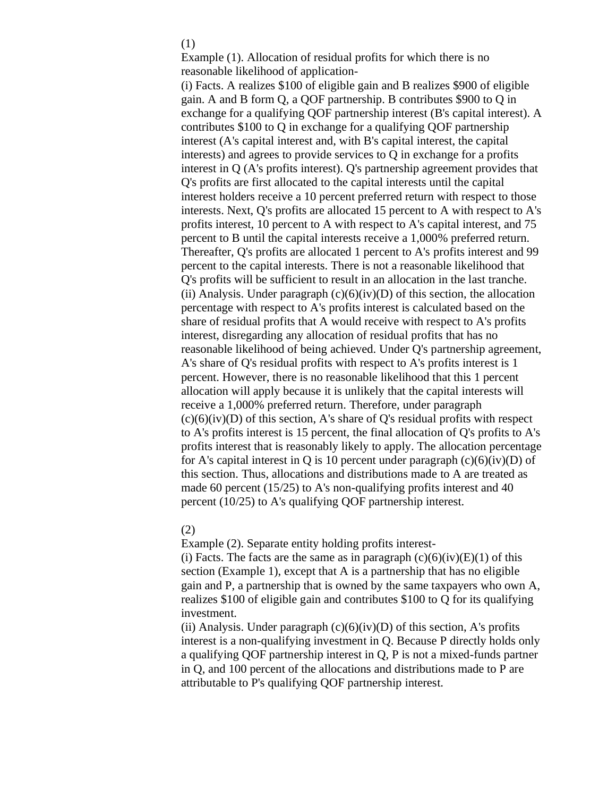### (1)

Example (1). Allocation of residual profits for which there is no reasonable likelihood of application-

(i) Facts. A realizes \$100 of eligible gain and B realizes \$900 of eligible gain. A and B form Q, a QOF partnership. B contributes \$900 to Q in exchange for a qualifying QOF partnership interest (B's capital interest). A contributes \$100 to Q in exchange for a qualifying QOF partnership interest (A's capital interest and, with B's capital interest, the capital interests) and agrees to provide services to Q in exchange for a profits interest in Q (A's profits interest). Q's partnership agreement provides that Q's profits are first allocated to the capital interests until the capital interest holders receive a 10 percent preferred return with respect to those interests. Next, Q's profits are allocated 15 percent to A with respect to A's profits interest, 10 percent to A with respect to A's capital interest, and 75 percent to B until the capital interests receive a 1,000% preferred return. Thereafter, Q's profits are allocated 1 percent to A's profits interest and 99 percent to the capital interests. There is not a reasonable likelihood that Q's profits will be sufficient to result in an allocation in the last tranche. (ii) Analysis. Under paragraph  $(c)(6)(iv)(D)$  of this section, the allocation percentage with respect to A's profits interest is calculated based on the share of residual profits that A would receive with respect to A's profits interest, disregarding any allocation of residual profits that has no reasonable likelihood of being achieved. Under Q's partnership agreement, A's share of Q's residual profits with respect to A's profits interest is 1 percent. However, there is no reasonable likelihood that this 1 percent allocation will apply because it is unlikely that the capital interests will receive a 1,000% preferred return. Therefore, under paragraph  $(c)(6)(iv)(D)$  of this section, A's share of Q's residual profits with respect to A's profits interest is 15 percent, the final allocation of Q's profits to A's profits interest that is reasonably likely to apply. The allocation percentage for A's capital interest in Q is 10 percent under paragraph  $(c)(6)(iv)(D)$  of this section. Thus, allocations and distributions made to A are treated as made 60 percent (15/25) to A's non-qualifying profits interest and 40 percent (10/25) to A's qualifying QOF partnership interest.

### (2)

Example (2). Separate entity holding profits interest-

(i) Facts. The facts are the same as in paragraph  $(c)(6)(iv)(E)(1)$  of this section (Example 1), except that A is a partnership that has no eligible gain and P, a partnership that is owned by the same taxpayers who own A, realizes \$100 of eligible gain and contributes \$100 to Q for its qualifying investment.

(ii) Analysis. Under paragraph  $(c)(6)(iv)(D)$  of this section, A's profits interest is a non-qualifying investment in Q. Because P directly holds only a qualifying QOF partnership interest in Q, P is not a mixed-funds partner in Q, and 100 percent of the allocations and distributions made to P are attributable to P's qualifying QOF partnership interest.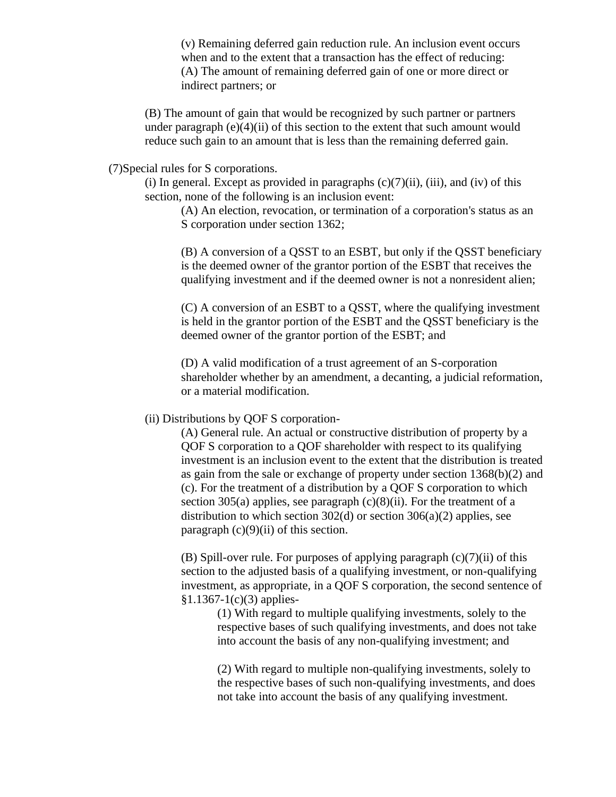(v) Remaining deferred gain reduction rule. An inclusion event occurs when and to the extent that a transaction has the effect of reducing: (A) The amount of remaining deferred gain of one or more direct or indirect partners; or

(B) The amount of gain that would be recognized by such partner or partners under paragraph  $(e)(4)(ii)$  of this section to the extent that such amount would reduce such gain to an amount that is less than the remaining deferred gain.

(7)Special rules for S corporations.

(i) In general. Except as provided in paragraphs  $(c)(7)(ii)$ , (iii), and (iv) of this section, none of the following is an inclusion event:

(A) An election, revocation, or termination of a corporation's status as an S corporation under section 1362;

(B) A conversion of a QSST to an ESBT, but only if the QSST beneficiary is the deemed owner of the grantor portion of the ESBT that receives the qualifying investment and if the deemed owner is not a nonresident alien;

(C) A conversion of an ESBT to a QSST, where the qualifying investment is held in the grantor portion of the ESBT and the QSST beneficiary is the deemed owner of the grantor portion of the ESBT; and

(D) A valid modification of a trust agreement of an S-corporation shareholder whether by an amendment, a decanting, a judicial reformation, or a material modification.

### (ii) Distributions by QOF S corporation-

(A) General rule. An actual or constructive distribution of property by a QOF S corporation to a QOF shareholder with respect to its qualifying investment is an inclusion event to the extent that the distribution is treated as gain from the sale or exchange of property under section 1368(b)(2) and (c). For the treatment of a distribution by a QOF S corporation to which section 305(a) applies, see paragraph  $(c)(8)(ii)$ . For the treatment of a distribution to which section  $302(d)$  or section  $306(a)(2)$  applies, see paragraph  $(c)(9)(ii)$  of this section.

(B) Spill-over rule. For purposes of applying paragraph  $(c)(7)(ii)$  of this section to the adjusted basis of a qualifying investment, or non-qualifying investment, as appropriate, in a QOF S corporation, the second sentence of  $$1.1367-1(c)(3)$  applies-

(1) With regard to multiple qualifying investments, solely to the respective bases of such qualifying investments, and does not take into account the basis of any non-qualifying investment; and

(2) With regard to multiple non-qualifying investments, solely to the respective bases of such non-qualifying investments, and does not take into account the basis of any qualifying investment.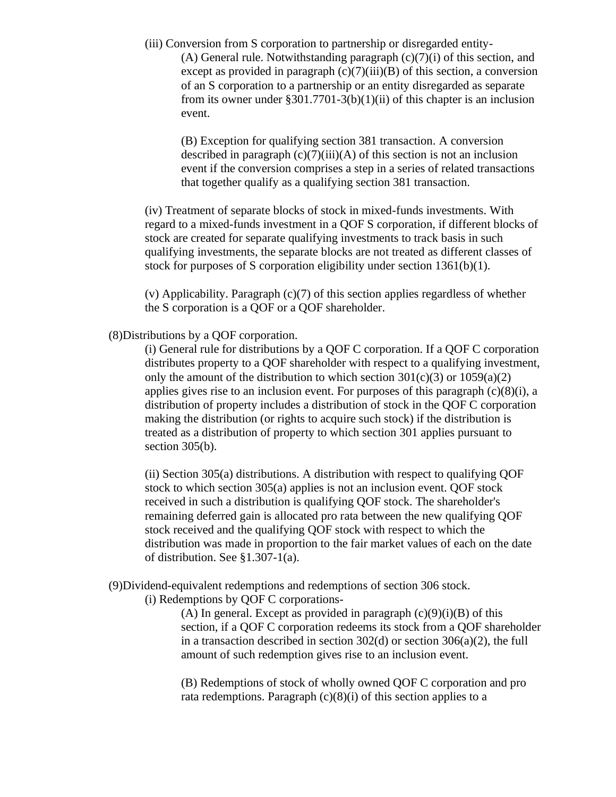(iii) Conversion from S corporation to partnership or disregarded entity- (A) General rule. Notwithstanding paragraph  $(c)(7)(i)$  of this section, and except as provided in paragraph  $(c)(7)(iii)(B)$  of this section, a conversion of an S corporation to a partnership or an entity disregarded as separate from its owner under  $\S 301.7701-3(b)(1)(ii)$  of this chapter is an inclusion event.

(B) Exception for qualifying section 381 transaction. A conversion described in paragraph  $(c)(7)(iii)(A)$  of this section is not an inclusion event if the conversion comprises a step in a series of related transactions that together qualify as a qualifying section 381 transaction.

(iv) Treatment of separate blocks of stock in mixed-funds investments. With regard to a mixed-funds investment in a QOF S corporation, if different blocks of stock are created for separate qualifying investments to track basis in such qualifying investments, the separate blocks are not treated as different classes of stock for purposes of S corporation eligibility under section 1361(b)(1).

(v) Applicability. Paragraph (c)(7) of this section applies regardless of whether the S corporation is a QOF or a QOF shareholder.

(8)Distributions by a QOF corporation.

(i) General rule for distributions by a QOF C corporation. If a QOF C corporation distributes property to a QOF shareholder with respect to a qualifying investment, only the amount of the distribution to which section  $301(c)(3)$  or  $1059(a)(2)$ applies gives rise to an inclusion event. For purposes of this paragraph  $(c)(8)(i)$ , a distribution of property includes a distribution of stock in the QOF C corporation making the distribution (or rights to acquire such stock) if the distribution is treated as a distribution of property to which section 301 applies pursuant to section 305(b).

(ii) Section 305(a) distributions. A distribution with respect to qualifying QOF stock to which section 305(a) applies is not an inclusion event. QOF stock received in such a distribution is qualifying QOF stock. The shareholder's remaining deferred gain is allocated pro rata between the new qualifying QOF stock received and the qualifying QOF stock with respect to which the distribution was made in proportion to the fair market values of each on the date of distribution. See §1.307-1(a).

(9)Dividend-equivalent redemptions and redemptions of section 306 stock.

(i) Redemptions by QOF C corporations-

(A) In general. Except as provided in paragraph  $(c)(9)(i)(B)$  of this section, if a QOF C corporation redeems its stock from a QOF shareholder in a transaction described in section  $302(d)$  or section  $306(a)(2)$ , the full amount of such redemption gives rise to an inclusion event.

(B) Redemptions of stock of wholly owned QOF C corporation and pro rata redemptions. Paragraph  $(c)(8)(i)$  of this section applies to a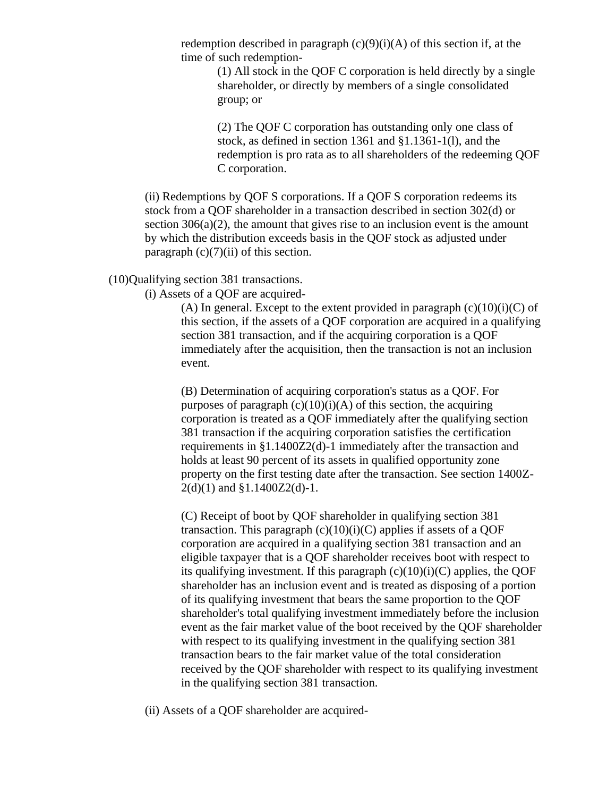redemption described in paragraph  $(c)(9)(i)(A)$  of this section if, at the time of such redemption-

> (1) All stock in the QOF C corporation is held directly by a single shareholder, or directly by members of a single consolidated group; or

(2) The QOF C corporation has outstanding only one class of stock, as defined in section 1361 and §1.1361-1(l), and the redemption is pro rata as to all shareholders of the redeeming QOF C corporation.

(ii) Redemptions by QOF S corporations. If a QOF S corporation redeems its stock from a QOF shareholder in a transaction described in section 302(d) or section  $306(a)(2)$ , the amount that gives rise to an inclusion event is the amount by which the distribution exceeds basis in the QOF stock as adjusted under paragraph  $(c)(7)(ii)$  of this section.

# (10)Qualifying section 381 transactions.

(i) Assets of a QOF are acquired-

(A) In general. Except to the extent provided in paragraph  $(c)(10)(i)(C)$  of this section, if the assets of a QOF corporation are acquired in a qualifying section 381 transaction, and if the acquiring corporation is a QOF immediately after the acquisition, then the transaction is not an inclusion event.

(B) Determination of acquiring corporation's status as a QOF. For purposes of paragraph  $(c)(10)(i)(A)$  of this section, the acquiring corporation is treated as a QOF immediately after the qualifying section 381 transaction if the acquiring corporation satisfies the certification requirements in §1.1400Z2(d)-1 immediately after the transaction and holds at least 90 percent of its assets in qualified opportunity zone property on the first testing date after the transaction. See section 1400Z- $2(d)(1)$  and  $$1.1400Z2(d)-1$ .

(C) Receipt of boot by QOF shareholder in qualifying section 381 transaction. This paragraph  $(c)(10)(i)(C)$  applies if assets of a QOF corporation are acquired in a qualifying section 381 transaction and an eligible taxpayer that is a QOF shareholder receives boot with respect to its qualifying investment. If this paragraph  $(c)(10)(i)(C)$  applies, the QOF shareholder has an inclusion event and is treated as disposing of a portion of its qualifying investment that bears the same proportion to the QOF shareholder's total qualifying investment immediately before the inclusion event as the fair market value of the boot received by the QOF shareholder with respect to its qualifying investment in the qualifying section 381 transaction bears to the fair market value of the total consideration received by the QOF shareholder with respect to its qualifying investment in the qualifying section 381 transaction.

(ii) Assets of a QOF shareholder are acquired-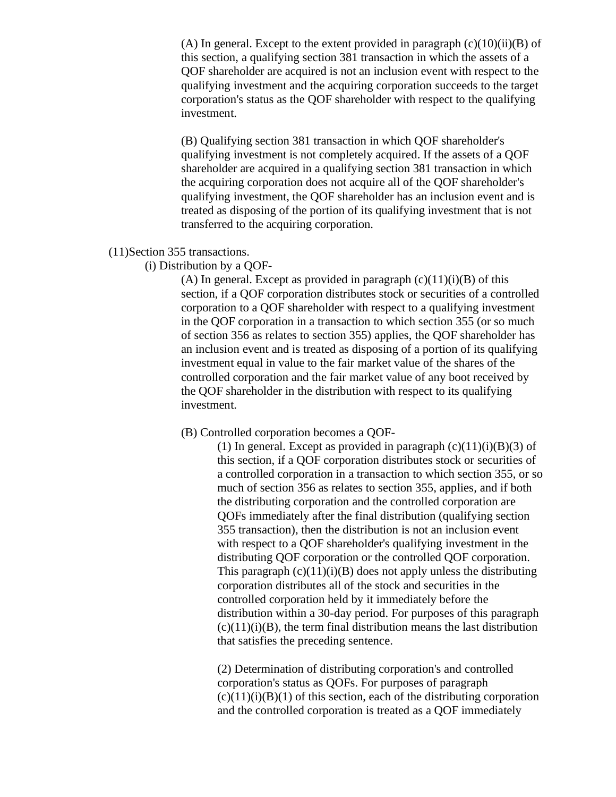(A) In general. Except to the extent provided in paragraph  $(c)(10)(ii)(B)$  of this section, a qualifying section 381 transaction in which the assets of a QOF shareholder are acquired is not an inclusion event with respect to the qualifying investment and the acquiring corporation succeeds to the target corporation's status as the QOF shareholder with respect to the qualifying investment.

(B) Qualifying section 381 transaction in which QOF shareholder's qualifying investment is not completely acquired. If the assets of a QOF shareholder are acquired in a qualifying section 381 transaction in which the acquiring corporation does not acquire all of the QOF shareholder's qualifying investment, the QOF shareholder has an inclusion event and is treated as disposing of the portion of its qualifying investment that is not transferred to the acquiring corporation.

# (11)Section 355 transactions.

# (i) Distribution by a QOF-

(A) In general. Except as provided in paragraph  $(c)(11)(i)(B)$  of this section, if a QOF corporation distributes stock or securities of a controlled corporation to a QOF shareholder with respect to a qualifying investment in the QOF corporation in a transaction to which section 355 (or so much of section 356 as relates to section 355) applies, the QOF shareholder has an inclusion event and is treated as disposing of a portion of its qualifying investment equal in value to the fair market value of the shares of the controlled corporation and the fair market value of any boot received by the QOF shareholder in the distribution with respect to its qualifying investment.

# (B) Controlled corporation becomes a QOF-

(1) In general. Except as provided in paragraph  $(c)(11)(i)(B)(3)$  of this section, if a QOF corporation distributes stock or securities of a controlled corporation in a transaction to which section 355, or so much of section 356 as relates to section 355, applies, and if both the distributing corporation and the controlled corporation are QOFs immediately after the final distribution (qualifying section 355 transaction), then the distribution is not an inclusion event with respect to a QOF shareholder's qualifying investment in the distributing QOF corporation or the controlled QOF corporation. This paragraph  $(c)(11)(i)(B)$  does not apply unless the distributing corporation distributes all of the stock and securities in the controlled corporation held by it immediately before the distribution within a 30-day period. For purposes of this paragraph  $(c)(11)(i)(B)$ , the term final distribution means the last distribution that satisfies the preceding sentence.

(2) Determination of distributing corporation's and controlled corporation's status as QOFs. For purposes of paragraph  $(c)(11)(i)(B)(1)$  of this section, each of the distributing corporation and the controlled corporation is treated as a QOF immediately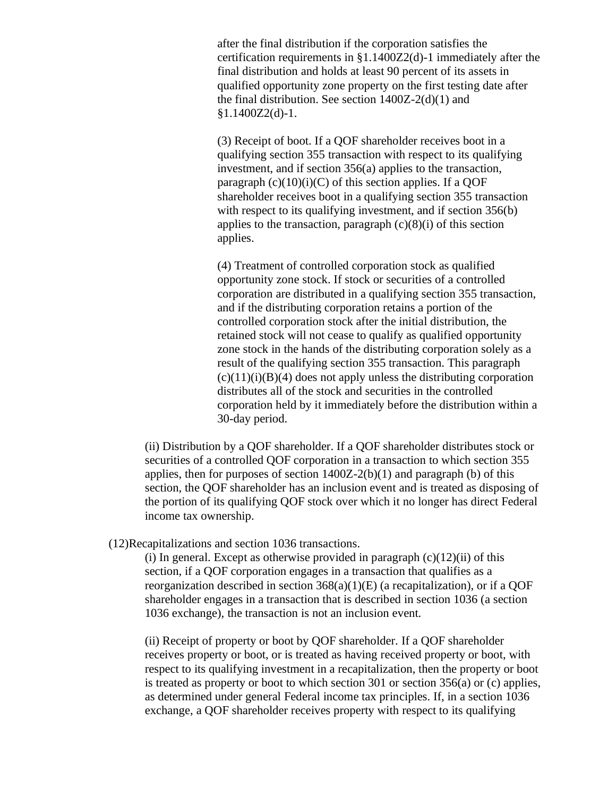after the final distribution if the corporation satisfies the certification requirements in §1.1400Z2(d)-1 immediately after the final distribution and holds at least 90 percent of its assets in qualified opportunity zone property on the first testing date after the final distribution. See section  $1400Z-2(d)(1)$  and  $§1.1400Z2(d)-1.$ 

(3) Receipt of boot. If a QOF shareholder receives boot in a qualifying section 355 transaction with respect to its qualifying investment, and if section 356(a) applies to the transaction, paragraph  $(c)(10)(i)(C)$  of this section applies. If a QOF shareholder receives boot in a qualifying section 355 transaction with respect to its qualifying investment, and if section 356(b) applies to the transaction, paragraph  $(c)(8)(i)$  of this section applies.

(4) Treatment of controlled corporation stock as qualified opportunity zone stock. If stock or securities of a controlled corporation are distributed in a qualifying section 355 transaction, and if the distributing corporation retains a portion of the controlled corporation stock after the initial distribution, the retained stock will not cease to qualify as qualified opportunity zone stock in the hands of the distributing corporation solely as a result of the qualifying section 355 transaction. This paragraph  $(c)(11)(i)(B)(4)$  does not apply unless the distributing corporation distributes all of the stock and securities in the controlled corporation held by it immediately before the distribution within a 30-day period.

(ii) Distribution by a QOF shareholder. If a QOF shareholder distributes stock or securities of a controlled QOF corporation in a transaction to which section 355 applies, then for purposes of section  $1400Z-2(b)(1)$  and paragraph (b) of this section, the QOF shareholder has an inclusion event and is treated as disposing of the portion of its qualifying QOF stock over which it no longer has direct Federal income tax ownership.

(12)Recapitalizations and section 1036 transactions.

(i) In general. Except as otherwise provided in paragraph  $(c)(12)(ii)$  of this section, if a QOF corporation engages in a transaction that qualifies as a reorganization described in section 368(a)(1)(E) (a recapitalization), or if a QOF shareholder engages in a transaction that is described in section 1036 (a section 1036 exchange), the transaction is not an inclusion event.

(ii) Receipt of property or boot by QOF shareholder. If a QOF shareholder receives property or boot, or is treated as having received property or boot, with respect to its qualifying investment in a recapitalization, then the property or boot is treated as property or boot to which section 301 or section 356(a) or (c) applies, as determined under general Federal income tax principles. If, in a section 1036 exchange, a QOF shareholder receives property with respect to its qualifying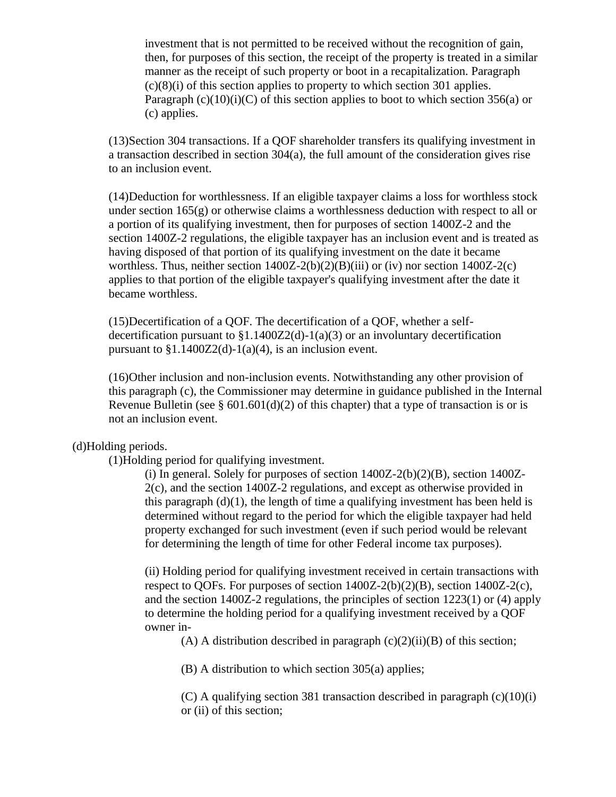investment that is not permitted to be received without the recognition of gain, then, for purposes of this section, the receipt of the property is treated in a similar manner as the receipt of such property or boot in a recapitalization. Paragraph  $(c)(8)(i)$  of this section applies to property to which section 301 applies. Paragraph  $(c)(10)(i)(C)$  of this section applies to boot to which section 356(a) or (c) applies.

(13)Section 304 transactions. If a QOF shareholder transfers its qualifying investment in a transaction described in section 304(a), the full amount of the consideration gives rise to an inclusion event.

(14)Deduction for worthlessness. If an eligible taxpayer claims a loss for worthless stock under section  $165(g)$  or otherwise claims a worthlessness deduction with respect to all or a portion of its qualifying investment, then for purposes of section 1400Z-2 and the section 1400Z-2 regulations, the eligible taxpayer has an inclusion event and is treated as having disposed of that portion of its qualifying investment on the date it became worthless. Thus, neither section  $1400Z-2(b)(2)(B)(iii)$  or (iv) nor section  $1400Z-2(c)$ applies to that portion of the eligible taxpayer's qualifying investment after the date it became worthless.

(15)Decertification of a QOF. The decertification of a QOF, whether a selfdecertification pursuant to  $$1.1400Z2(d)-1(a)(3)$  or an involuntary decertification pursuant to  $$1.1400Z2(d)-1(a)(4)$ , is an inclusion event.

(16)Other inclusion and non-inclusion events. Notwithstanding any other provision of this paragraph (c), the Commissioner may determine in guidance published in the Internal Revenue Bulletin (see § 601.601(d)(2) of this chapter) that a type of transaction is or is not an inclusion event.

(d)Holding periods.

(1)Holding period for qualifying investment.

(i) In general. Solely for purposes of section  $1400Z-2(b)(2)(B)$ , section  $1400Z-$ 2(c), and the section 1400Z-2 regulations, and except as otherwise provided in this paragraph  $(d)(1)$ , the length of time a qualifying investment has been held is determined without regard to the period for which the eligible taxpayer had held property exchanged for such investment (even if such period would be relevant for determining the length of time for other Federal income tax purposes).

(ii) Holding period for qualifying investment received in certain transactions with respect to QOFs. For purposes of section  $1400Z-2(b)(2)(B)$ , section  $1400Z-2(c)$ , and the section 1400Z-2 regulations, the principles of section 1223(1) or (4) apply to determine the holding period for a qualifying investment received by a QOF owner in-

(A) A distribution described in paragraph  $(c)(2)(ii)(B)$  of this section;

(B) A distribution to which section 305(a) applies;

(C) A qualifying section 381 transaction described in paragraph (c)(10)(i) or (ii) of this section;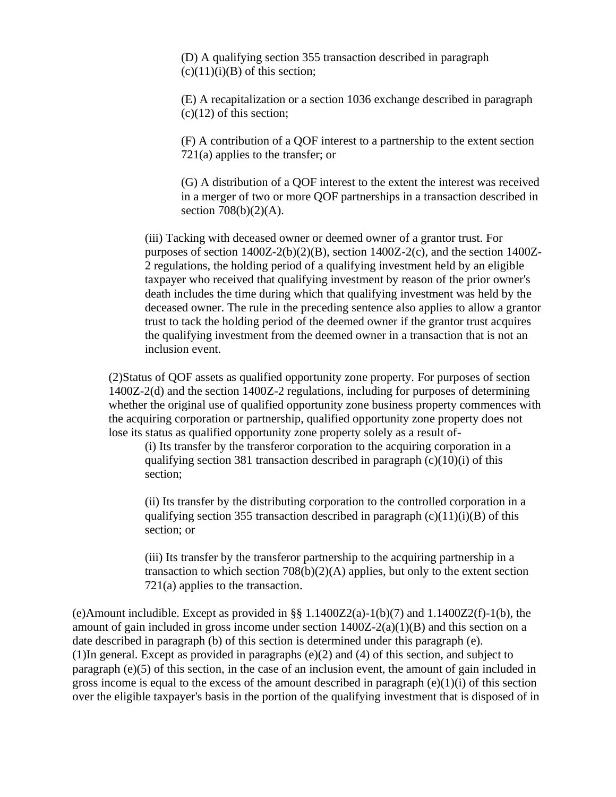(D) A qualifying section 355 transaction described in paragraph  $(c)(11)(i)(B)$  of this section;

(E) A recapitalization or a section 1036 exchange described in paragraph  $(c)(12)$  of this section;

(F) A contribution of a QOF interest to a partnership to the extent section 721(a) applies to the transfer; or

(G) A distribution of a QOF interest to the extent the interest was received in a merger of two or more QOF partnerships in a transaction described in section  $708(b)(2)(A)$ .

(iii) Tacking with deceased owner or deemed owner of a grantor trust. For purposes of section  $1400Z-2(b)(2)(B)$ , section  $1400Z-2(c)$ , and the section  $1400Z-$ 2 regulations, the holding period of a qualifying investment held by an eligible taxpayer who received that qualifying investment by reason of the prior owner's death includes the time during which that qualifying investment was held by the deceased owner. The rule in the preceding sentence also applies to allow a grantor trust to tack the holding period of the deemed owner if the grantor trust acquires the qualifying investment from the deemed owner in a transaction that is not an inclusion event.

(2)Status of QOF assets as qualified opportunity zone property. For purposes of section 1400Z-2(d) and the section 1400Z-2 regulations, including for purposes of determining whether the original use of qualified opportunity zone business property commences with the acquiring corporation or partnership, qualified opportunity zone property does not lose its status as qualified opportunity zone property solely as a result of-

(i) Its transfer by the transferor corporation to the acquiring corporation in a qualifying section 381 transaction described in paragraph  $(c)(10)(i)$  of this section;

(ii) Its transfer by the distributing corporation to the controlled corporation in a qualifying section 355 transaction described in paragraph  $(c)(11)(i)(B)$  of this section; or

(iii) Its transfer by the transferor partnership to the acquiring partnership in a transaction to which section  $708(b)(2)(A)$  applies, but only to the extent section 721(a) applies to the transaction.

(e)Amount includible. Except as provided in §§  $1.1400Z2(a)-1(b)(7)$  and  $1.1400Z2(f)-1(b)$ , the amount of gain included in gross income under section  $1400Z-2(a)(1)(B)$  and this section on a date described in paragraph (b) of this section is determined under this paragraph (e). (1)In general. Except as provided in paragraphs (e)(2) and (4) of this section, and subject to paragraph (e)(5) of this section, in the case of an inclusion event, the amount of gain included in gross income is equal to the excess of the amount described in paragraph  $(e)(1)(i)$  of this section over the eligible taxpayer's basis in the portion of the qualifying investment that is disposed of in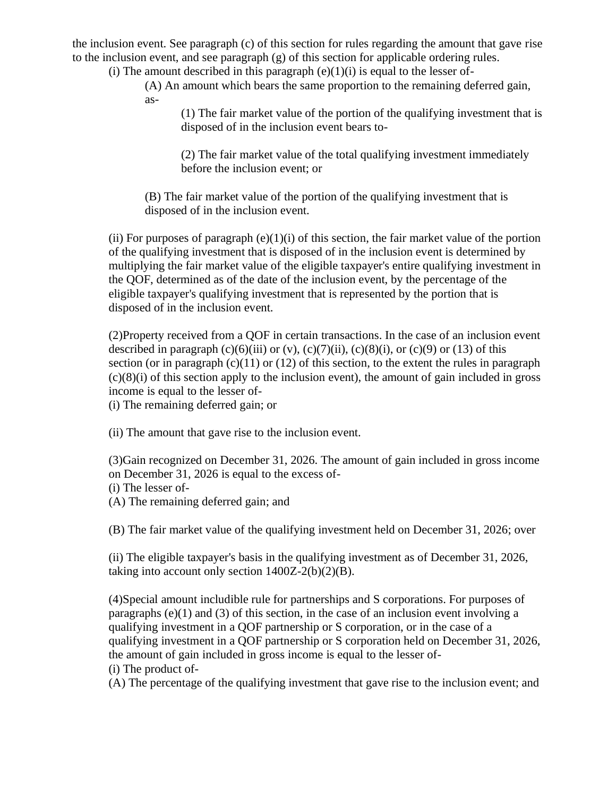the inclusion event. See paragraph (c) of this section for rules regarding the amount that gave rise to the inclusion event, and see paragraph  $(g)$  of this section for applicable ordering rules.

(i) The amount described in this paragraph  $(e)(1)(i)$  is equal to the lesser of-

(A) An amount which bears the same proportion to the remaining deferred gain, as-

(1) The fair market value of the portion of the qualifying investment that is disposed of in the inclusion event bears to-

(2) The fair market value of the total qualifying investment immediately before the inclusion event; or

(B) The fair market value of the portion of the qualifying investment that is disposed of in the inclusion event.

(ii) For purposes of paragraph  $(e)(1)(i)$  of this section, the fair market value of the portion of the qualifying investment that is disposed of in the inclusion event is determined by multiplying the fair market value of the eligible taxpayer's entire qualifying investment in the QOF, determined as of the date of the inclusion event, by the percentage of the eligible taxpayer's qualifying investment that is represented by the portion that is disposed of in the inclusion event.

(2)Property received from a QOF in certain transactions. In the case of an inclusion event described in paragraph  $(c)(6)(iii)$  or  $(v)$ ,  $(c)(7)(ii)$ ,  $(c)(8)(i)$ , or  $(c)(9)$  or  $(13)$  of this section (or in paragraph  $(c)(11)$  or  $(12)$  of this section, to the extent the rules in paragraph  $(c)(8)(i)$  of this section apply to the inclusion event), the amount of gain included in gross income is equal to the lesser of-

(i) The remaining deferred gain; or

(ii) The amount that gave rise to the inclusion event.

(3)Gain recognized on December 31, 2026. The amount of gain included in gross income on December 31, 2026 is equal to the excess of-

(i) The lesser of-

(A) The remaining deferred gain; and

(B) The fair market value of the qualifying investment held on December 31, 2026; over

(ii) The eligible taxpayer's basis in the qualifying investment as of December 31, 2026, taking into account only section  $1400Z-2(b)(2)(B)$ .

(4)Special amount includible rule for partnerships and S corporations. For purposes of paragraphs (e)(1) and (3) of this section, in the case of an inclusion event involving a qualifying investment in a QOF partnership or S corporation, or in the case of a qualifying investment in a QOF partnership or S corporation held on December 31, 2026, the amount of gain included in gross income is equal to the lesser of- (i) The product of-

(A) The percentage of the qualifying investment that gave rise to the inclusion event; and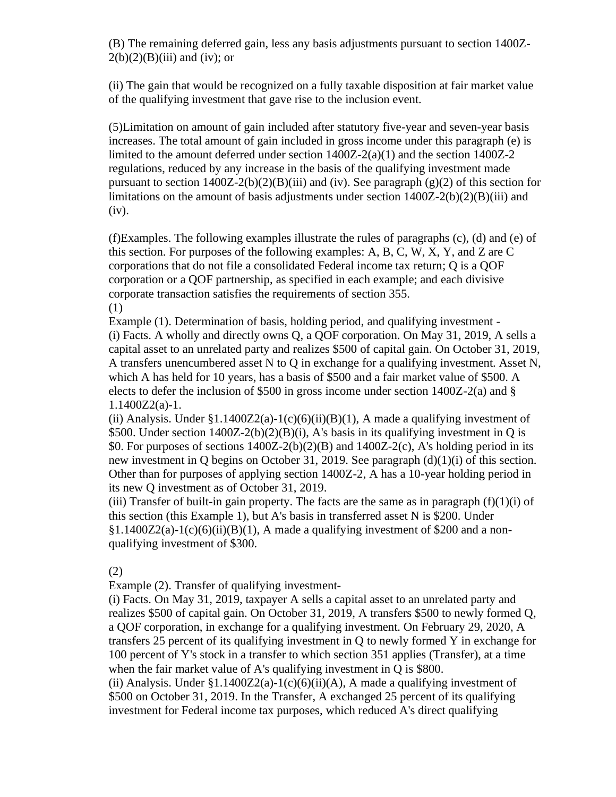(B) The remaining deferred gain, less any basis adjustments pursuant to section 1400Z- $2(b)(2)(B)(iii)$  and (iv); or

(ii) The gain that would be recognized on a fully taxable disposition at fair market value of the qualifying investment that gave rise to the inclusion event.

(5)Limitation on amount of gain included after statutory five-year and seven-year basis increases. The total amount of gain included in gross income under this paragraph (e) is limited to the amount deferred under section 1400Z-2(a)(1) and the section 1400Z-2 regulations, reduced by any increase in the basis of the qualifying investment made pursuant to section  $1400Z-2(b)(2)(B)(iii)$  and (iv). See paragraph (g)(2) of this section for limitations on the amount of basis adjustments under section 1400Z-2(b)(2)(B)(iii) and (iv).

(f)Examples. The following examples illustrate the rules of paragraphs (c), (d) and (e) of this section. For purposes of the following examples: A, B, C, W, X, Y, and Z are C corporations that do not file a consolidated Federal income tax return; Q is a QOF corporation or a QOF partnership, as specified in each example; and each divisive corporate transaction satisfies the requirements of section 355. (1)

Example (1). Determination of basis, holding period, and qualifying investment - (i) Facts. A wholly and directly owns Q, a QOF corporation. On May 31, 2019, A sells a capital asset to an unrelated party and realizes \$500 of capital gain. On October 31, 2019, A transfers unencumbered asset N to Q in exchange for a qualifying investment. Asset N, which A has held for 10 years, has a basis of \$500 and a fair market value of \$500. A elects to defer the inclusion of \$500 in gross income under section 1400Z-2(a) and § 1.1400Z2(a)-1.

(ii) Analysis. Under  $\S1.1400Z2(a)-1(c)(6)(ii)(B)(1)$ , A made a qualifying investment of \$500. Under section 1400Z-2(b)(2)(B)(i), A's basis in its qualifying investment in Q is \$0. For purposes of sections  $1400Z-2(b)(2)(B)$  and  $1400Z-2(c)$ , A's holding period in its new investment in Q begins on October 31, 2019. See paragraph (d)(1)(i) of this section. Other than for purposes of applying section 1400Z-2, A has a 10-year holding period in its new Q investment as of October 31, 2019.

(iii) Transfer of built-in gain property. The facts are the same as in paragraph  $(f)(1)(i)$  of this section (this Example 1), but A's basis in transferred asset N is \$200. Under  $§1.1400Z2(a)-1(c)(6)(ii)(B)(1)$ , A made a qualifying investment of \$200 and a nonqualifying investment of \$300.

(2)

Example (2). Transfer of qualifying investment-

(i) Facts. On May 31, 2019, taxpayer A sells a capital asset to an unrelated party and realizes \$500 of capital gain. On October 31, 2019, A transfers \$500 to newly formed Q, a QOF corporation, in exchange for a qualifying investment. On February 29, 2020, A transfers 25 percent of its qualifying investment in Q to newly formed Y in exchange for 100 percent of Y's stock in a transfer to which section 351 applies (Transfer), at a time when the fair market value of A's qualifying investment in Q is \$800.

(ii) Analysis. Under  $$1.1400Z2(a)-1(c)(6)(ii)(A)$ , A made a qualifying investment of \$500 on October 31, 2019. In the Transfer, A exchanged 25 percent of its qualifying investment for Federal income tax purposes, which reduced A's direct qualifying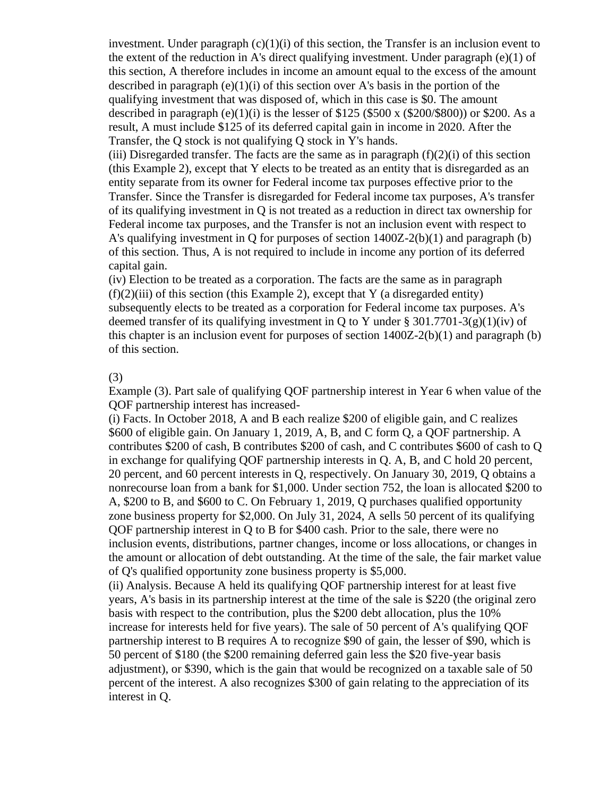investment. Under paragraph  $(c)(1)(i)$  of this section, the Transfer is an inclusion event to the extent of the reduction in A's direct qualifying investment. Under paragraph  $(e)(1)$  of this section, A therefore includes in income an amount equal to the excess of the amount described in paragraph  $(e)(1)(i)$  of this section over A's basis in the portion of the qualifying investment that was disposed of, which in this case is \$0. The amount described in paragraph (e)(1)(i) is the lesser of  $$125 ($500 \times ($200/$800))$  or  $$200$ . As a result, A must include \$125 of its deferred capital gain in income in 2020. After the Transfer, the Q stock is not qualifying Q stock in Y's hands.

(iii) Disregarded transfer. The facts are the same as in paragraph  $(f)(2)(i)$  of this section (this Example 2), except that Y elects to be treated as an entity that is disregarded as an entity separate from its owner for Federal income tax purposes effective prior to the Transfer. Since the Transfer is disregarded for Federal income tax purposes, A's transfer of its qualifying investment in Q is not treated as a reduction in direct tax ownership for Federal income tax purposes, and the Transfer is not an inclusion event with respect to A's qualifying investment in Q for purposes of section 1400Z-2(b)(1) and paragraph (b) of this section. Thus, A is not required to include in income any portion of its deferred capital gain.

(iv) Election to be treated as a corporation. The facts are the same as in paragraph  $(f)(2)(iii)$  of this section (this Example 2), except that Y (a disregarded entity) subsequently elects to be treated as a corporation for Federal income tax purposes. A's deemed transfer of its qualifying investment in Q to Y under § 301.7701-3(g)(1)(iv) of this chapter is an inclusion event for purposes of section 1400Z-2(b)(1) and paragraph (b) of this section.

#### (3)

Example (3). Part sale of qualifying QOF partnership interest in Year 6 when value of the QOF partnership interest has increased-

(i) Facts. In October 2018, A and B each realize \$200 of eligible gain, and C realizes \$600 of eligible gain. On January 1, 2019, A, B, and C form Q, a QOF partnership. A contributes \$200 of cash, B contributes \$200 of cash, and C contributes \$600 of cash to Q in exchange for qualifying QOF partnership interests in Q. A, B, and C hold 20 percent, 20 percent, and 60 percent interests in Q, respectively. On January 30, 2019, Q obtains a nonrecourse loan from a bank for \$1,000. Under section 752, the loan is allocated \$200 to A, \$200 to B, and \$600 to C. On February 1, 2019, Q purchases qualified opportunity zone business property for \$2,000. On July 31, 2024, A sells 50 percent of its qualifying QOF partnership interest in Q to B for \$400 cash. Prior to the sale, there were no inclusion events, distributions, partner changes, income or loss allocations, or changes in the amount or allocation of debt outstanding. At the time of the sale, the fair market value of Q's qualified opportunity zone business property is \$5,000.

(ii) Analysis. Because A held its qualifying QOF partnership interest for at least five years, A's basis in its partnership interest at the time of the sale is \$220 (the original zero basis with respect to the contribution, plus the \$200 debt allocation, plus the 10% increase for interests held for five years). The sale of 50 percent of A's qualifying QOF partnership interest to B requires A to recognize \$90 of gain, the lesser of \$90, which is 50 percent of \$180 (the \$200 remaining deferred gain less the \$20 five-year basis adjustment), or \$390, which is the gain that would be recognized on a taxable sale of 50 percent of the interest. A also recognizes \$300 of gain relating to the appreciation of its interest in Q.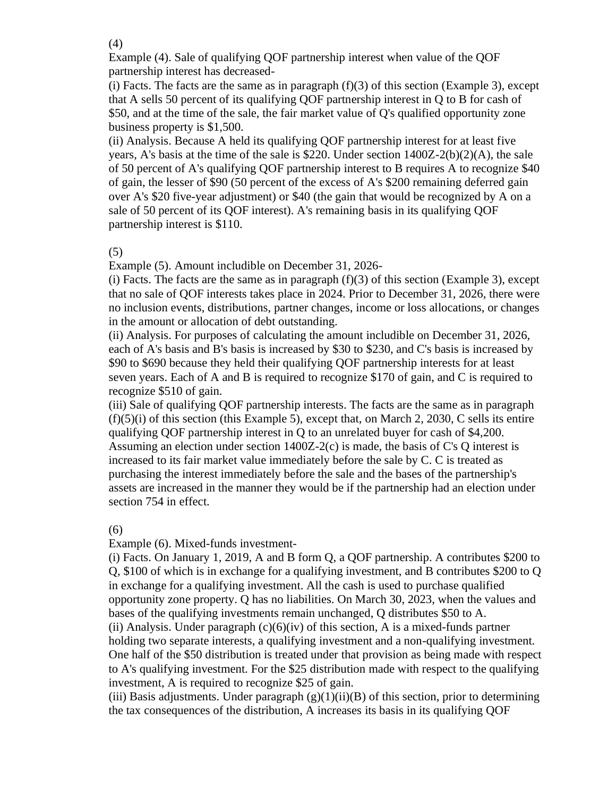(4)

Example (4). Sale of qualifying QOF partnership interest when value of the QOF partnership interest has decreased-

(i) Facts. The facts are the same as in paragraph  $(f)(3)$  of this section (Example 3), except that A sells 50 percent of its qualifying QOF partnership interest in Q to B for cash of \$50, and at the time of the sale, the fair market value of Q's qualified opportunity zone business property is \$1,500.

(ii) Analysis. Because A held its qualifying QOF partnership interest for at least five years, A's basis at the time of the sale is \$220. Under section 1400Z-2(b)(2)(A), the sale of 50 percent of A's qualifying QOF partnership interest to B requires A to recognize \$40 of gain, the lesser of \$90 (50 percent of the excess of A's \$200 remaining deferred gain over A's \$20 five-year adjustment) or \$40 (the gain that would be recognized by A on a sale of 50 percent of its QOF interest). A's remaining basis in its qualifying QOF partnership interest is \$110.

# (5)

Example (5). Amount includible on December 31, 2026-

(i) Facts. The facts are the same as in paragraph  $(f)(3)$  of this section (Example 3), except that no sale of QOF interests takes place in 2024. Prior to December 31, 2026, there were no inclusion events, distributions, partner changes, income or loss allocations, or changes in the amount or allocation of debt outstanding.

(ii) Analysis. For purposes of calculating the amount includible on December 31, 2026, each of A's basis and B's basis is increased by \$30 to \$230, and C's basis is increased by \$90 to \$690 because they held their qualifying QOF partnership interests for at least seven years. Each of A and B is required to recognize \$170 of gain, and C is required to recognize \$510 of gain.

(iii) Sale of qualifying QOF partnership interests. The facts are the same as in paragraph  $(f)(5)(i)$  of this section (this Example 5), except that, on March 2, 2030, C sells its entire qualifying QOF partnership interest in Q to an unrelated buyer for cash of \$4,200. Assuming an election under section  $1400Z-2(c)$  is made, the basis of C's Q interest is increased to its fair market value immediately before the sale by C. C is treated as purchasing the interest immediately before the sale and the bases of the partnership's assets are increased in the manner they would be if the partnership had an election under section 754 in effect.

(6)

Example (6). Mixed-funds investment-

(i) Facts. On January 1, 2019, A and B form Q, a QOF partnership. A contributes \$200 to Q, \$100 of which is in exchange for a qualifying investment, and B contributes \$200 to Q in exchange for a qualifying investment. All the cash is used to purchase qualified opportunity zone property. Q has no liabilities. On March 30, 2023, when the values and bases of the qualifying investments remain unchanged, Q distributes \$50 to A. (ii) Analysis. Under paragraph  $(c)(6)(iv)$  of this section, A is a mixed-funds partner holding two separate interests, a qualifying investment and a non-qualifying investment. One half of the \$50 distribution is treated under that provision as being made with respect to A's qualifying investment. For the \$25 distribution made with respect to the qualifying investment, A is required to recognize \$25 of gain.

(iii) Basis adjustments. Under paragraph  $(g)(1)(ii)(B)$  of this section, prior to determining the tax consequences of the distribution, A increases its basis in its qualifying QOF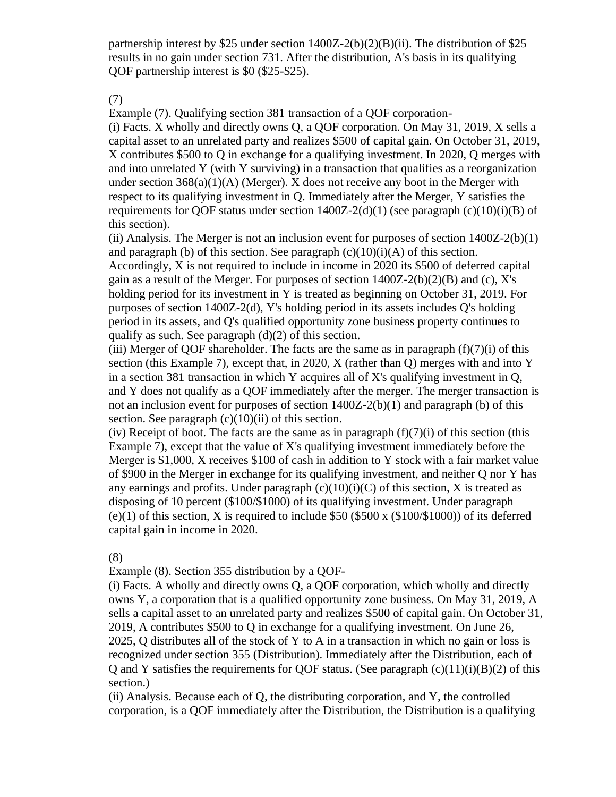partnership interest by \$25 under section  $1400Z-2(b)(2)(B)(ii)$ . The distribution of \$25 results in no gain under section 731. After the distribution, A's basis in its qualifying QOF partnership interest is \$0 (\$25-\$25).

(7)

Example (7). Qualifying section 381 transaction of a QOF corporation-

(i) Facts. X wholly and directly owns Q, a QOF corporation. On May 31, 2019, X sells a capital asset to an unrelated party and realizes \$500 of capital gain. On October 31, 2019, X contributes \$500 to Q in exchange for a qualifying investment. In 2020, Q merges with and into unrelated Y (with Y surviving) in a transaction that qualifies as a reorganization under section  $368(a)(1)(A)$  (Merger). X does not receive any boot in the Merger with respect to its qualifying investment in Q. Immediately after the Merger, Y satisfies the requirements for QOF status under section  $1400Z-2(d)(1)$  (see paragraph (c)(10)(i)(B) of this section).

(ii) Analysis. The Merger is not an inclusion event for purposes of section  $1400Z-2(b)(1)$ and paragraph (b) of this section. See paragraph  $(c)(10)(i)(A)$  of this section. Accordingly, X is not required to include in income in 2020 its \$500 of deferred capital gain as a result of the Merger. For purposes of section  $1400Z-2(b)(2)(B)$  and (c), X's holding period for its investment in Y is treated as beginning on October 31, 2019. For purposes of section 1400Z-2(d), Y's holding period in its assets includes Q's holding period in its assets, and Q's qualified opportunity zone business property continues to qualify as such. See paragraph (d)(2) of this section.

(iii) Merger of QOF shareholder. The facts are the same as in paragraph  $(f)(7)(i)$  of this section (this Example 7), except that, in 2020, X (rather than Q) merges with and into Y in a section 381 transaction in which Y acquires all of X's qualifying investment in Q, and Y does not qualify as a QOF immediately after the merger. The merger transaction is not an inclusion event for purposes of section 1400Z-2(b)(1) and paragraph (b) of this section. See paragraph  $(c)(10)(ii)$  of this section.

(iv) Receipt of boot. The facts are the same as in paragraph  $(f)(7)(i)$  of this section (this Example 7), except that the value of X's qualifying investment immediately before the Merger is \$1,000, X receives \$100 of cash in addition to Y stock with a fair market value of \$900 in the Merger in exchange for its qualifying investment, and neither Q nor Y has any earnings and profits. Under paragraph  $(c)(10)(i)(C)$  of this section, X is treated as disposing of 10 percent (\$100/\$1000) of its qualifying investment. Under paragraph  $(e)(1)$  of this section, X is required to include \$50 (\$500 x (\$100/\$1000)) of its deferred capital gain in income in 2020.

(8)

Example (8). Section 355 distribution by a QOF-

(i) Facts. A wholly and directly owns Q, a QOF corporation, which wholly and directly owns Y, a corporation that is a qualified opportunity zone business. On May 31, 2019, A sells a capital asset to an unrelated party and realizes \$500 of capital gain. On October 31, 2019, A contributes \$500 to Q in exchange for a qualifying investment. On June 26, 2025, Q distributes all of the stock of Y to A in a transaction in which no gain or loss is recognized under section 355 (Distribution). Immediately after the Distribution, each of Q and Y satisfies the requirements for QOF status. (See paragraph  $(c)(11)(i)(B)(2)$  of this section.)

(ii) Analysis. Because each of Q, the distributing corporation, and Y, the controlled corporation, is a QOF immediately after the Distribution, the Distribution is a qualifying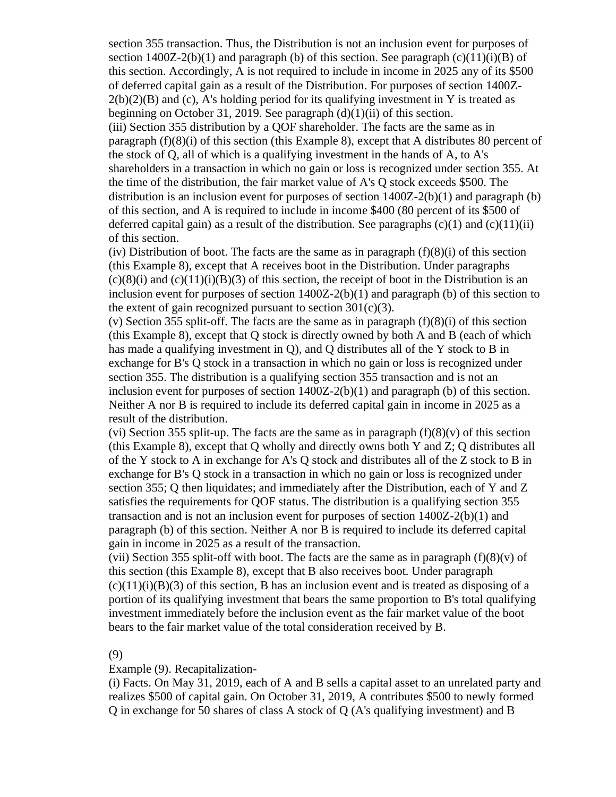section 355 transaction. Thus, the Distribution is not an inclusion event for purposes of section  $1400Z-2(b)(1)$  and paragraph (b) of this section. See paragraph (c)(11)(i)(B) of this section. Accordingly, A is not required to include in income in 2025 any of its \$500 of deferred capital gain as a result of the Distribution. For purposes of section 1400Z- $2(b)(2)(B)$  and (c), A's holding period for its qualifying investment in Y is treated as beginning on October 31, 2019. See paragraph  $(d)(1)(ii)$  of this section. (iii) Section 355 distribution by a QOF shareholder. The facts are the same as in paragraph  $(f)(8)(i)$  of this section (this Example 8), except that A distributes 80 percent of the stock of Q, all of which is a qualifying investment in the hands of A, to A's shareholders in a transaction in which no gain or loss is recognized under section 355. At the time of the distribution, the fair market value of A's Q stock exceeds \$500. The distribution is an inclusion event for purposes of section 1400Z-2(b)(1) and paragraph (b) of this section, and A is required to include in income \$400 (80 percent of its \$500 of deferred capital gain) as a result of the distribution. See paragraphs  $(c)(1)$  and  $(c)(11)(ii)$ of this section.

(iv) Distribution of boot. The facts are the same as in paragraph  $(f)(8)(i)$  of this section (this Example 8), except that A receives boot in the Distribution. Under paragraphs  $(c)(8)(i)$  and  $(c)(11)(i)(B)(3)$  of this section, the receipt of boot in the Distribution is an inclusion event for purposes of section 1400Z-2(b)(1) and paragraph (b) of this section to the extent of gain recognized pursuant to section  $301(c)(3)$ .

(v) Section 355 split-off. The facts are the same as in paragraph (f)(8)(i) of this section (this Example 8), except that Q stock is directly owned by both A and B (each of which has made a qualifying investment in Q), and Q distributes all of the Y stock to B in exchange for B's Q stock in a transaction in which no gain or loss is recognized under section 355. The distribution is a qualifying section 355 transaction and is not an inclusion event for purposes of section 1400Z-2(b)(1) and paragraph (b) of this section. Neither A nor B is required to include its deferred capital gain in income in 2025 as a result of the distribution.

(vi) Section 355 split-up. The facts are the same as in paragraph  $(f)(8)(v)$  of this section (this Example 8), except that Q wholly and directly owns both Y and Z; Q distributes all of the Y stock to A in exchange for A's Q stock and distributes all of the Z stock to B in exchange for B's Q stock in a transaction in which no gain or loss is recognized under section 355; Q then liquidates; and immediately after the Distribution, each of Y and Z satisfies the requirements for QOF status. The distribution is a qualifying section 355 transaction and is not an inclusion event for purposes of section 1400Z-2(b)(1) and paragraph (b) of this section. Neither A nor B is required to include its deferred capital gain in income in 2025 as a result of the transaction.

(vii) Section 355 split-off with boot. The facts are the same as in paragraph  $(f)(8)(v)$  of this section (this Example 8), except that B also receives boot. Under paragraph  $(c)(11)(i)(B)(3)$  of this section, B has an inclusion event and is treated as disposing of a portion of its qualifying investment that bears the same proportion to B's total qualifying investment immediately before the inclusion event as the fair market value of the boot bears to the fair market value of the total consideration received by B.

### (9)

# Example (9). Recapitalization-

(i) Facts. On May 31, 2019, each of A and B sells a capital asset to an unrelated party and realizes \$500 of capital gain. On October 31, 2019, A contributes \$500 to newly formed Q in exchange for 50 shares of class A stock of Q (A's qualifying investment) and B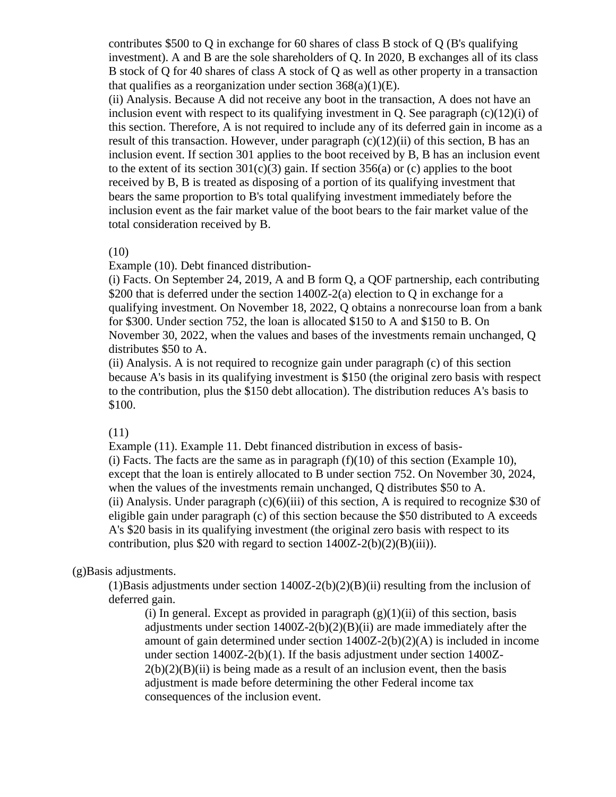contributes \$500 to Q in exchange for 60 shares of class B stock of Q (B's qualifying investment). A and B are the sole shareholders of Q. In 2020, B exchanges all of its class B stock of Q for 40 shares of class A stock of Q as well as other property in a transaction that qualifies as a reorganization under section  $368(a)(1)(E)$ .

(ii) Analysis. Because A did not receive any boot in the transaction, A does not have an inclusion event with respect to its qualifying investment in Q. See paragraph  $(c)(12)(i)$  of this section. Therefore, A is not required to include any of its deferred gain in income as a result of this transaction. However, under paragraph  $(c)(12)(ii)$  of this section, B has an inclusion event. If section 301 applies to the boot received by B, B has an inclusion event to the extent of its section  $301(c)(3)$  gain. If section  $356(a)$  or (c) applies to the boot received by B, B is treated as disposing of a portion of its qualifying investment that bears the same proportion to B's total qualifying investment immediately before the inclusion event as the fair market value of the boot bears to the fair market value of the total consideration received by B.

### (10)

Example (10). Debt financed distribution-

(i) Facts. On September 24, 2019, A and B form Q, a QOF partnership, each contributing \$200 that is deferred under the section 1400Z-2(a) election to Q in exchange for a qualifying investment. On November 18, 2022, Q obtains a nonrecourse loan from a bank for \$300. Under section 752, the loan is allocated \$150 to A and \$150 to B. On November 30, 2022, when the values and bases of the investments remain unchanged, Q distributes \$50 to A.

(ii) Analysis. A is not required to recognize gain under paragraph (c) of this section because A's basis in its qualifying investment is \$150 (the original zero basis with respect to the contribution, plus the \$150 debt allocation). The distribution reduces A's basis to \$100.

### (11)

Example (11). Example 11. Debt financed distribution in excess of basis- (i) Facts. The facts are the same as in paragraph  $(f)(10)$  of this section (Example 10), except that the loan is entirely allocated to B under section 752. On November 30, 2024, when the values of the investments remain unchanged, Q distributes \$50 to A. (ii) Analysis. Under paragraph  $(c)(6)(iii)$  of this section, A is required to recognize \$30 of eligible gain under paragraph (c) of this section because the \$50 distributed to A exceeds A's \$20 basis in its qualifying investment (the original zero basis with respect to its contribution, plus \$20 with regard to section  $1400Z-2(b)(2)(B)(iii)$ .

# (g)Basis adjustments.

(1)Basis adjustments under section  $1400Z-2(b)(2)(B)(ii)$  resulting from the inclusion of deferred gain.

(i) In general. Except as provided in paragraph  $(g)(1)(ii)$  of this section, basis adjustments under section 1400Z-2(b)(2)(B)(ii) are made immediately after the amount of gain determined under section  $1400Z - 2(b)(2)(A)$  is included in income under section 1400Z-2(b)(1). If the basis adjustment under section 1400Z- $2(b)(2)(B)(ii)$  is being made as a result of an inclusion event, then the basis adjustment is made before determining the other Federal income tax consequences of the inclusion event.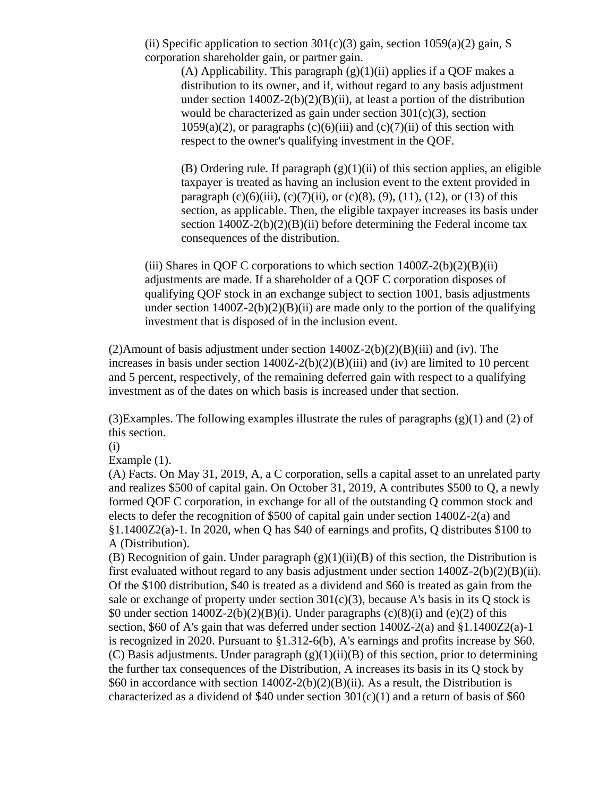(ii) Specific application to section  $301(c)(3)$  gain, section  $1059(a)(2)$  gain, S corporation shareholder gain, or partner gain.

(A) Applicability. This paragraph  $(g)(1)(ii)$  applies if a QOF makes a distribution to its owner, and if, without regard to any basis adjustment under section  $1400Z-2(b)(2)(B)(ii)$ , at least a portion of the distribution would be characterized as gain under section  $301(c)(3)$ , section  $1059(a)(2)$ , or paragraphs  $(c)(6)(iii)$  and  $(c)(7)(ii)$  of this section with respect to the owner's qualifying investment in the QOF.

(B) Ordering rule. If paragraph  $(g)(1)(ii)$  of this section applies, an eligible taxpayer is treated as having an inclusion event to the extent provided in paragraph  $(c)(6)(iii)$ ,  $(c)(7)(ii)$ , or  $(c)(8)$ ,  $(9)$ ,  $(11)$ ,  $(12)$ , or  $(13)$  of this section, as applicable. Then, the eligible taxpayer increases its basis under section  $1400Z-2(b)(2)(B)(ii)$  before determining the Federal income tax consequences of the distribution.

(iii) Shares in QOF C corporations to which section  $1400Z-2(b)(2)(B)(ii)$ adjustments are made. If a shareholder of a QOF C corporation disposes of qualifying QOF stock in an exchange subject to section 1001, basis adjustments under section  $1400Z-2(b)(2)(B)(ii)$  are made only to the portion of the qualifying investment that is disposed of in the inclusion event.

(2)Amount of basis adjustment under section  $1400Z-2(b)(2)(B)(iii)$  and (iv). The increases in basis under section 1400Z-2(b)(2)(B)(iii) and (iv) are limited to 10 percent and 5 percent, respectively, of the remaining deferred gain with respect to a qualifying investment as of the dates on which basis is increased under that section.

(3)Examples. The following examples illustrate the rules of paragraphs  $(g)(1)$  and (2) of this section.

(i)

Example (1).

(A) Facts. On May 31, 2019, A, a C corporation, sells a capital asset to an unrelated party and realizes \$500 of capital gain. On October 31, 2019, A contributes \$500 to Q, a newly formed QOF C corporation, in exchange for all of the outstanding Q common stock and elects to defer the recognition of \$500 of capital gain under section 1400Z-2(a) and §1.1400Z2(a)-1. In 2020, when Q has \$40 of earnings and profits, Q distributes \$100 to A (Distribution).

(B) Recognition of gain. Under paragraph  $(g)(1)(ii)(B)$  of this section, the Distribution is first evaluated without regard to any basis adjustment under section 1400Z-2(b)(2)(B)(ii). Of the \$100 distribution, \$40 is treated as a dividend and \$60 is treated as gain from the sale or exchange of property under section  $301(c)(3)$ , because A's basis in its O stock is \$0 under section  $1400Z-2(b)(2)(B)(i)$ . Under paragraphs  $(c)(8)(i)$  and  $(e)(2)$  of this section, \$60 of A's gain that was deferred under section 1400Z-2(a) and §1.1400Z2(a)-1 is recognized in 2020. Pursuant to  $\S 1.312-6(b)$ , A's earnings and profits increase by  $\S 60$ . (C) Basis adjustments. Under paragraph  $(g)(1)(ii)(B)$  of this section, prior to determining the further tax consequences of the Distribution, A increases its basis in its Q stock by \$60 in accordance with section 1400Z-2(b)(2)(B)(ii). As a result, the Distribution is characterized as a dividend of \$40 under section  $301(c)(1)$  and a return of basis of \$60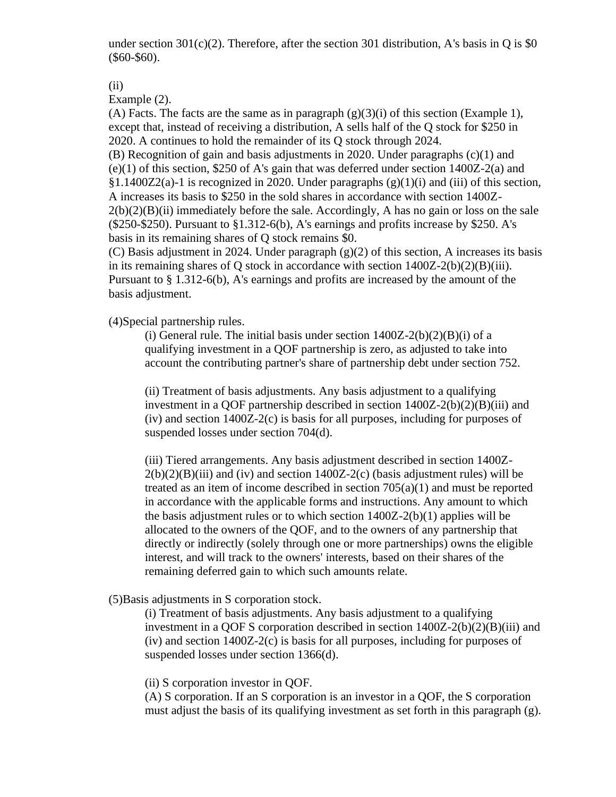under section  $301(c)(2)$ . Therefore, after the section 301 distribution, A's basis in Q is \$0 (\$60-\$60).

(ii)

Example (2).

(A) Facts. The facts are the same as in paragraph  $(g)(3)(i)$  of this section (Example 1), except that, instead of receiving a distribution, A sells half of the Q stock for \$250 in 2020. A continues to hold the remainder of its Q stock through 2024.

(B) Recognition of gain and basis adjustments in 2020. Under paragraphs (c)(1) and (e)(1) of this section, \$250 of A's gain that was deferred under section 1400Z-2(a) and  $§1.1400Z2(a)-1$  is recognized in 2020. Under paragraphs  $(g)(1)(i)$  and (iii) of this section, A increases its basis to \$250 in the sold shares in accordance with section 1400Z- $2(b)(2)(B)(ii)$  immediately before the sale. Accordingly, A has no gain or loss on the sale  $($ \$250-\$250). Pursuant to  $§1.312-6(b)$ , A's earnings and profits increase by \$250. A's basis in its remaining shares of Q stock remains \$0.

(C) Basis adjustment in 2024. Under paragraph (g)(2) of this section, A increases its basis in its remaining shares of Q stock in accordance with section 1400Z-2(b)(2)(B)(iii). Pursuant to § 1.312-6(b), A's earnings and profits are increased by the amount of the basis adjustment.

(4)Special partnership rules.

(i) General rule. The initial basis under section  $1400Z-2(b)(2)(B)(i)$  of a qualifying investment in a QOF partnership is zero, as adjusted to take into account the contributing partner's share of partnership debt under section 752.

(ii) Treatment of basis adjustments. Any basis adjustment to a qualifying investment in a OOF partnership described in section  $1400Z-2(b)(2)(B)(iii)$  and (iv) and section 1400Z-2(c) is basis for all purposes, including for purposes of suspended losses under section 704(d).

(iii) Tiered arrangements. Any basis adjustment described in section 1400Z- $2(b)(2)(B)(iii)$  and (iv) and section 1400Z-2(c) (basis adjustment rules) will be treated as an item of income described in section 705(a)(1) and must be reported in accordance with the applicable forms and instructions. Any amount to which the basis adjustment rules or to which section 1400Z-2(b)(1) applies will be allocated to the owners of the QOF, and to the owners of any partnership that directly or indirectly (solely through one or more partnerships) owns the eligible interest, and will track to the owners' interests, based on their shares of the remaining deferred gain to which such amounts relate.

(5)Basis adjustments in S corporation stock.

(i) Treatment of basis adjustments. Any basis adjustment to a qualifying investment in a QOF S corporation described in section 1400Z-2(b)(2)(B)(iii) and (iv) and section 1400Z-2(c) is basis for all purposes, including for purposes of suspended losses under section 1366(d).

(ii) S corporation investor in QOF.

(A) S corporation. If an S corporation is an investor in a QOF, the S corporation must adjust the basis of its qualifying investment as set forth in this paragraph (g).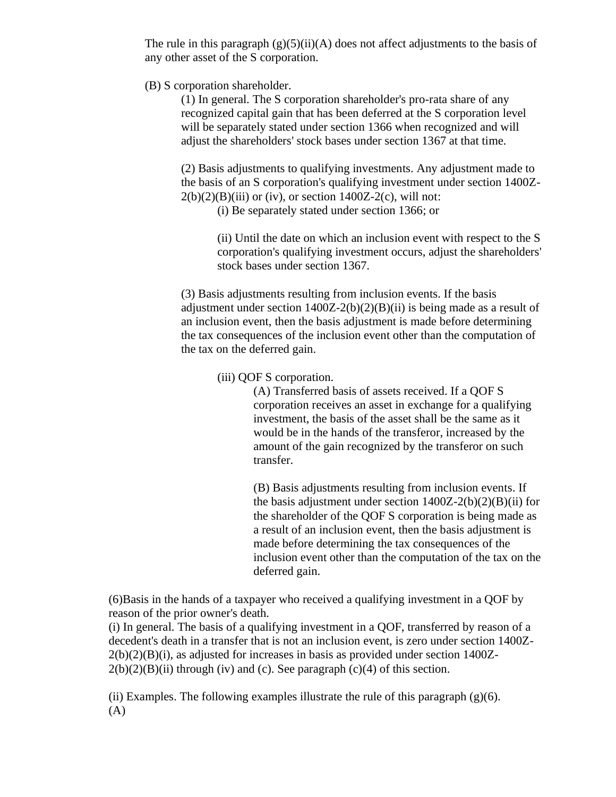The rule in this paragraph  $(g)(5)(ii)(A)$  does not affect adjustments to the basis of any other asset of the S corporation.

(B) S corporation shareholder.

(1) In general. The S corporation shareholder's pro-rata share of any recognized capital gain that has been deferred at the S corporation level will be separately stated under section 1366 when recognized and will adjust the shareholders' stock bases under section 1367 at that time.

(2) Basis adjustments to qualifying investments. Any adjustment made to the basis of an S corporation's qualifying investment under section 1400Z- $2(b)(2)(B)(iii)$  or (iv), or section 1400Z-2(c), will not:

(i) Be separately stated under section 1366; or

(ii) Until the date on which an inclusion event with respect to the S corporation's qualifying investment occurs, adjust the shareholders' stock bases under section 1367.

(3) Basis adjustments resulting from inclusion events. If the basis adjustment under section  $1400Z-2(b)(2)(B)(ii)$  is being made as a result of an inclusion event, then the basis adjustment is made before determining the tax consequences of the inclusion event other than the computation of the tax on the deferred gain.

(iii) QOF S corporation.

(A) Transferred basis of assets received. If a QOF S corporation receives an asset in exchange for a qualifying investment, the basis of the asset shall be the same as it would be in the hands of the transferor, increased by the amount of the gain recognized by the transferor on such transfer.

(B) Basis adjustments resulting from inclusion events. If the basis adjustment under section  $1400Z-2(b)(2)(B)(ii)$  for the shareholder of the QOF S corporation is being made as a result of an inclusion event, then the basis adjustment is made before determining the tax consequences of the inclusion event other than the computation of the tax on the deferred gain.

(6)Basis in the hands of a taxpayer who received a qualifying investment in a QOF by reason of the prior owner's death.

(i) In general. The basis of a qualifying investment in a QOF, transferred by reason of a decedent's death in a transfer that is not an inclusion event, is zero under section 1400Z- $2(b)(2)(B)(i)$ , as adjusted for increases in basis as provided under section 1400Z- $2(b)(2)(B)(ii)$  through (iv) and (c). See paragraph (c)(4) of this section.

(ii) Examples. The following examples illustrate the rule of this paragraph  $(g)(6)$ . (A)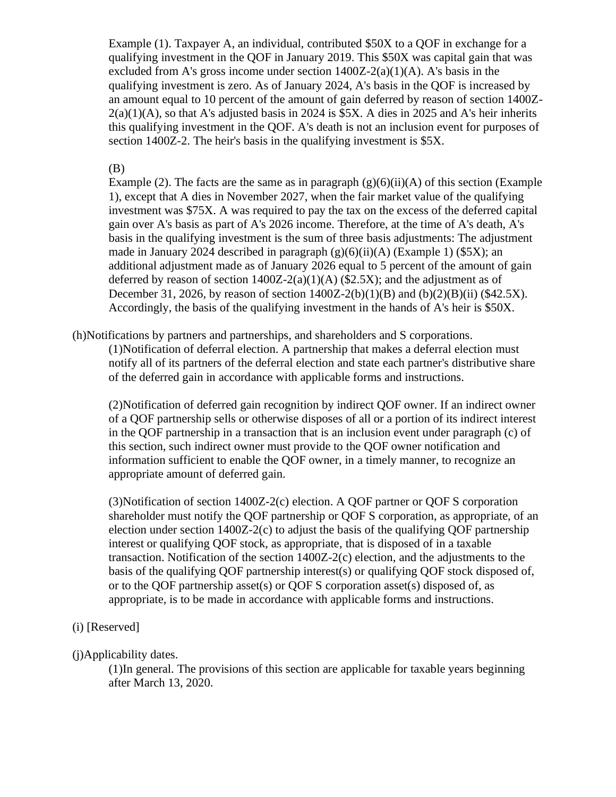Example (1). Taxpayer A, an individual, contributed \$50X to a QOF in exchange for a qualifying investment in the QOF in January 2019. This \$50X was capital gain that was excluded from A's gross income under section  $1400Z-2(a)(1)(A)$ . A's basis in the qualifying investment is zero. As of January 2024, A's basis in the QOF is increased by an amount equal to 10 percent of the amount of gain deferred by reason of section 1400Z- $2(a)(1)(A)$ , so that A's adjusted basis in 2024 is \$5X. A dies in 2025 and A's heir inherits this qualifying investment in the QOF. A's death is not an inclusion event for purposes of section 1400Z-2. The heir's basis in the qualifying investment is \$5X.

# (B)

Example (2). The facts are the same as in paragraph  $(g)(6)(ii)(A)$  of this section (Example 1), except that A dies in November 2027, when the fair market value of the qualifying investment was \$75X. A was required to pay the tax on the excess of the deferred capital gain over A's basis as part of A's 2026 income. Therefore, at the time of A's death, A's basis in the qualifying investment is the sum of three basis adjustments: The adjustment made in January 2024 described in paragraph  $(g)(6)(ii)(A)$  (Example 1) (\$5X); an additional adjustment made as of January 2026 equal to 5 percent of the amount of gain deferred by reason of section  $1400Z-2(a)(1)(A)$  (\$2.5X); and the adjustment as of December 31, 2026, by reason of section  $1400Z - 2(b)(1)(B)$  and  $(b)(2)(B)(ii)$  (\$42.5X). Accordingly, the basis of the qualifying investment in the hands of A's heir is \$50X.

(h)Notifications by partners and partnerships, and shareholders and S corporations.

(1)Notification of deferral election. A partnership that makes a deferral election must notify all of its partners of the deferral election and state each partner's distributive share of the deferred gain in accordance with applicable forms and instructions.

(2)Notification of deferred gain recognition by indirect QOF owner. If an indirect owner of a QOF partnership sells or otherwise disposes of all or a portion of its indirect interest in the QOF partnership in a transaction that is an inclusion event under paragraph (c) of this section, such indirect owner must provide to the QOF owner notification and information sufficient to enable the QOF owner, in a timely manner, to recognize an appropriate amount of deferred gain.

(3)Notification of section 1400Z-2(c) election. A QOF partner or QOF S corporation shareholder must notify the QOF partnership or QOF S corporation, as appropriate, of an election under section  $1400Z-2(c)$  to adjust the basis of the qualifying QOF partnership interest or qualifying QOF stock, as appropriate, that is disposed of in a taxable transaction. Notification of the section 1400Z-2(c) election, and the adjustments to the basis of the qualifying QOF partnership interest(s) or qualifying QOF stock disposed of, or to the QOF partnership asset(s) or QOF S corporation asset(s) disposed of, as appropriate, is to be made in accordance with applicable forms and instructions.

# (i) [Reserved]

# (j)Applicability dates.

(1)In general. The provisions of this section are applicable for taxable years beginning after March 13, 2020.